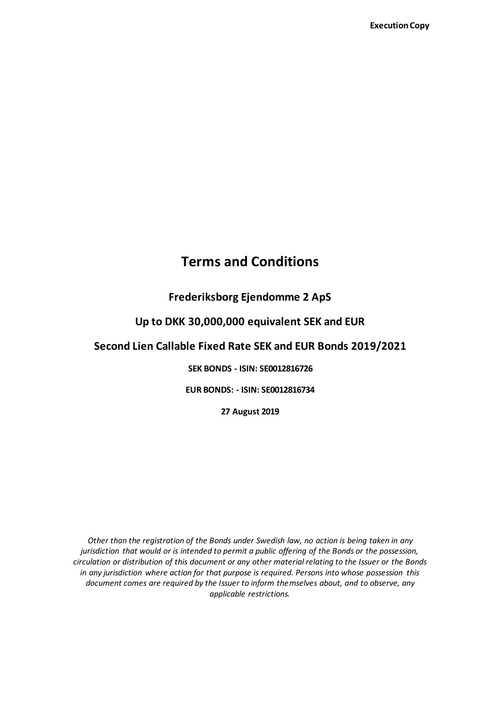# **Terms and Conditions**

# **Frederiksborg Ejendomme 2 ApS**

### **Up to DKK 30,000,000 equivalent SEK and EUR**

# **Second Lien Callable Fixed Rate SEK and EUR Bonds 2019/2021**

**SEK BONDS - ISIN: SE0012816726**

**EUR BONDS: - ISIN: SE0012816734**

**27 August 2019**

*Other than the registration of the Bonds under Swedish law, no action is being taken in any jurisdiction that would or is intended to permit a public offering of the Bonds or the possession, circulation or distribution of this document or any other material relating to the Issuer or the Bonds in any jurisdiction where action for that purpose is required. Persons into whose possession this document comes are required by the Issuer to inform themselves about, and to observe, any applicable restrictions.*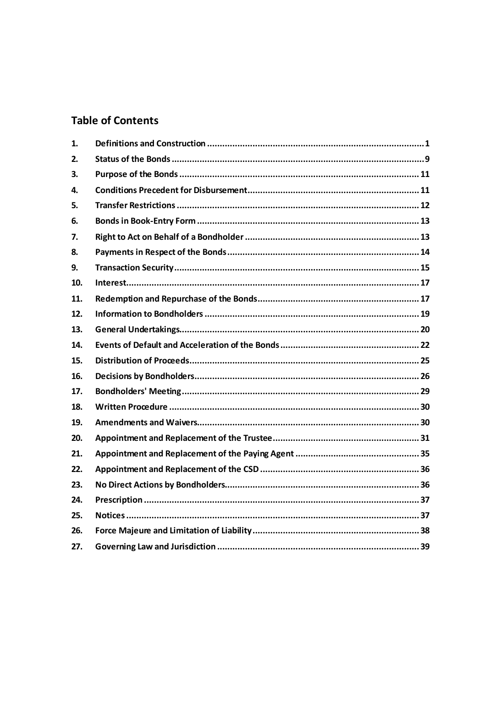# **Table of Contents**

| 1.  |  |
|-----|--|
| 2.  |  |
| 3.  |  |
| 4.  |  |
| 5.  |  |
| 6.  |  |
| 7.  |  |
| 8.  |  |
| 9.  |  |
| 10. |  |
| 11. |  |
| 12. |  |
| 13. |  |
| 14. |  |
| 15. |  |
| 16. |  |
| 17. |  |
| 18. |  |
| 19. |  |
| 20. |  |
| 21. |  |
| 22. |  |
| 23. |  |
| 24. |  |
| 25. |  |
| 26. |  |
| 27. |  |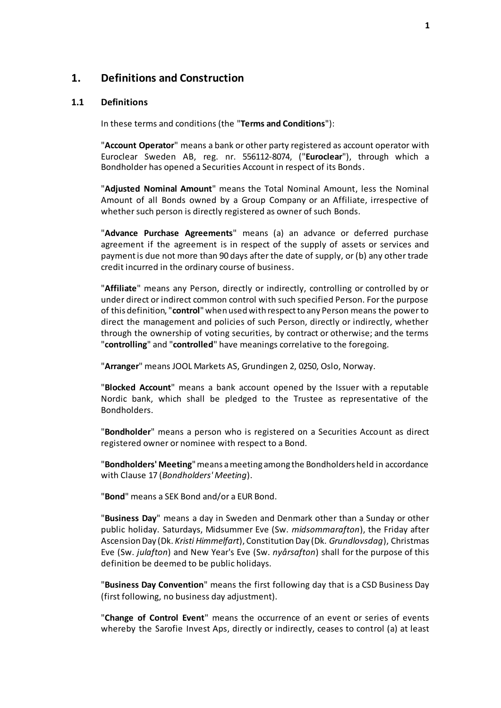### <span id="page-2-0"></span>**1. Definitions and Construction**

#### <span id="page-2-1"></span>**1.1 Definitions**

In these terms and conditions (the "**Terms and Conditions**"):

"**Account Operator**" means a bank or other party registered as account operator with Euroclear Sweden AB, reg. nr. 556112-8074, ("**Euroclear**"), through which a Bondholder has opened a Securities Account in respect of its Bonds.

"**Adjusted Nominal Amount**" means the Total Nominal Amount, less the Nominal Amount of all Bonds owned by a Group Company or an Affiliate, irrespective of whether such person is directly registered as owner of such Bonds.

"**Advance Purchase Agreements**" means (a) an advance or deferred purchase agreement if the agreement is in respect of the supply of assets or services and payment is due not more than 90 days after the date of supply, or (b) any other trade credit incurred in the ordinary course of business.

"**Affiliate**" means any Person, directly or indirectly, controlling or controlled by or under direct or indirect common control with such specified Person. For the purpose of this definition, "**control**" when used with respect to any Person means the power to direct the management and policies of such Person, directly or indirectly, whether through the ownership of voting securities, by contract or otherwise; and the terms "**controlling**" and "**controlled**" have meanings correlative to the foregoing.

"**Arranger**" means JOOL Markets AS, Grundingen 2, 0250, Oslo, Norway.

"**Blocked Account**" means a bank account opened by the Issuer with a reputable Nordic bank, which shall be pledged to the Trustee as representative of the Bondholders.

"**Bondholder**" means a person who is registered on a Securities Account as direct registered owner or nominee with respect to a Bond.

"**Bondholders' Meeting**" means a meeting among the Bondholders held in accordance with Clause [17](#page-30-0) (*[Bondholders'](#page-30-0) Meeting*).

"**Bond**" means a SEK Bond and/or a EUR Bond.

"**Business Day**" means a day in Sweden and Denmark other than a Sunday or other public holiday. Saturdays, Midsummer Eve (Sw. *midsommarafton*), the Friday after Ascension Day (Dk. *Kristi Himmelfart*), Constitution Day (Dk. *Grundlovsdag*), Christmas Eve (Sw. *julafton*) and New Year's Eve (Sw. *nyårsafton*) shall for the purpose of this definition be deemed to be public holidays.

"**Business Day Convention**" means the first following day that is a CSD Business Day (first following, no business day adjustment).

"**Change of Control Event**" means the occurrence of an event or series of events whereby the Sarofie Invest Aps, directly or indirectly, ceases to control (a) at least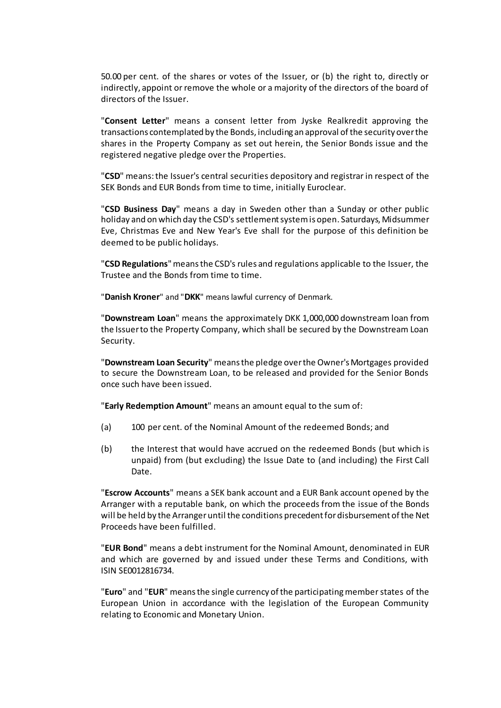50.00 per cent. of the shares or votes of the Issuer, or (b) the right to, directly or indirectly, appoint or remove the whole or a majority of the directors of the board of directors of the Issuer.

"**Consent Letter**" means a consent letter from Jyske Realkredit approving the transactions contemplated by the Bonds, including an approval of the security over the shares in the Property Company as set out herein, the Senior Bonds issue and the registered negative pledge over the Properties.

"**CSD**" means: the Issuer's central securities depository and registrar in respect of the SEK Bonds and EUR Bonds from time to time, initially Euroclear.

"**CSD Business Day**" means a day in Sweden other than a Sunday or other public holiday and on which day the CSD's settlement system is open. Saturdays, Midsummer Eve, Christmas Eve and New Year's Eve shall for the purpose of this definition be deemed to be public holidays.

"**CSD Regulations**" means the CSD's rules and regulations applicable to the Issuer, the Trustee and the Bonds from time to time.

"**Danish Kroner**" and "**DKK**" means lawful currency of Denmark.

"**Downstream Loan**" means the approximately DKK 1,000,000 downstream loan from the Issuer to the Property Company, which shall be secured by the Downstream Loan Security.

"**Downstream Loan Security**" means the pledge over the Owner's Mortgages provided to secure the Downstream Loan, to be released and provided for the Senior Bonds once such have been issued.

"**Early Redemption Amount**" means an amount equal to the sum of:

- (a) 100 per cent. of the Nominal Amount of the redeemed Bonds; and
- (b) the Interest that would have accrued on the redeemed Bonds (but which is unpaid) from (but excluding) the Issue Date to (and including) the First Call Date.

"**Escrow Accounts**" means a SEK bank account and a EUR Bank account opened by the Arranger with a reputable bank, on which the proceeds from the issue of the Bonds will be held by the Arranger until the conditions precedent for disbursement of the Net Proceeds have been fulfilled.

"**EUR Bond**" means a debt instrument for the Nominal Amount, denominated in EUR and which are governed by and issued under these Terms and Conditions, with ISIN SE0012816734.

"**Euro**" and "**EUR**" means the single currency of the participating member states of the European Union in accordance with the legislation of the European Community relating to Economic and Monetary Union.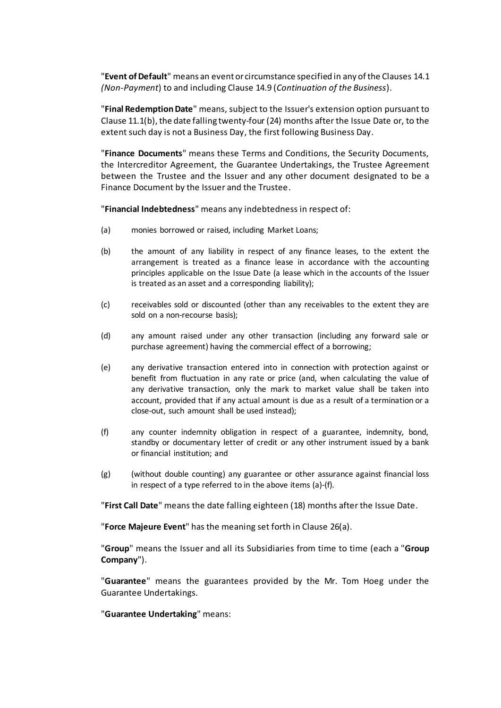"**Event of Default**" means an event or circumstance specified in any of the Clause[s 14.1](#page-23-1) *(Non-Payment*) to and including Clause [14.9](#page-25-0) (*[Continuation of the Busines](#page-25-0)s*).

"**Final RedemptionDate**" means, subject to the Issuer's extension option pursuant to Clause  $11.1(b)$ , the date falling twenty-four (24) months after the Issue Date or, to the extent such day is not a Business Day, the first following Business Day.

"**Finance Documents**" means these Terms and Conditions, the Security Documents, the Intercreditor Agreement, the Guarantee Undertakings, the Trustee Agreement between the Trustee and the Issuer and any other document designated to be a Finance Document by the Issuer and the Trustee.

"**Financial Indebtedness**" means any indebtedness in respect of:

- (a) monies borrowed or raised, including Market Loans;
- (b) the amount of any liability in respect of any finance leases, to the extent the arrangement is treated as a finance lease in accordance with the accounting principles applicable on the Issue Date (a lease which in the accounts of the Issuer is treated as an asset and a corresponding liability);
- (c) receivables sold or discounted (other than any receivables to the extent they are sold on a non-recourse basis);
- (d) any amount raised under any other transaction (including any forward sale or purchase agreement) having the commercial effect of a borrowing;
- (e) any derivative transaction entered into in connection with protection against or benefit from fluctuation in any rate or price (and, when calculating the value of any derivative transaction, only the mark to market value shall be taken into account, provided that if any actual amount is due as a result of a termination or a close-out, such amount shall be used instead);
- (f) any counter indemnity obligation in respect of a guarantee, indemnity, bond, standby or documentary letter of credit or any other instrument issued by a bank or financial institution; and
- (g) (without double counting) any guarantee or other assurance against financial loss in respect of a type referred to in the above items (a)-(f).

"**First Call Date**" means the date falling eighteen (18) months after the Issue Date.

"**Force Majeure Event**" has the meaning set forth in Clause [26\(a](#page-39-1)).

"**Group**" means the Issuer and all its Subsidiaries from time to time (each a "**Group Company**").

"**Guarantee**" means the guarantees provided by the Mr. Tom Hoeg under the Guarantee Undertakings.

"**Guarantee Undertaking**" means: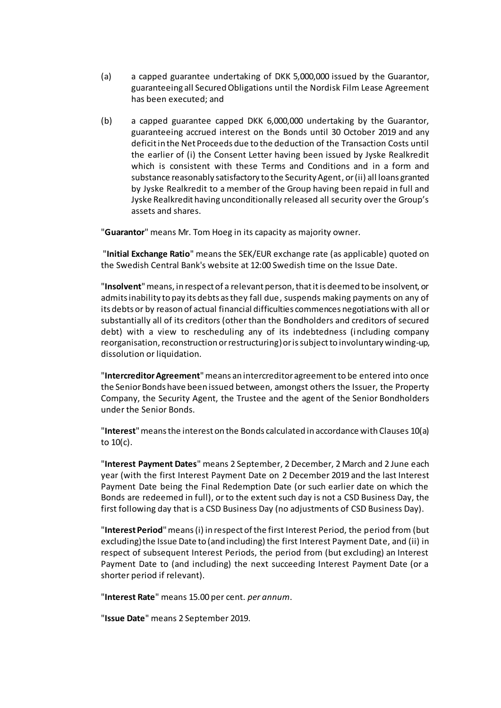- (a) a capped guarantee undertaking of DKK 5,000,000 issued by the Guarantor, guaranteeing all Secured Obligations until the Nordisk Film Lease Agreement has been executed; and
- (b) a capped guarantee capped DKK 6,000,000 undertaking by the Guarantor, guaranteeing accrued interest on the Bonds until 30 October 2019 and any deficit in the Net Proceeds due to the deduction of the Transaction Costs until the earlier of (i) the Consent Letter having been issued by Jyske Realkredit which is consistent with these Terms and Conditions and in a form and substance reasonably satisfactory to the Security Agent, or (ii) all loans granted by Jyske Realkredit to a member of the Group having been repaid in full and Jyske Realkredit having unconditionally released all security over the Group's assets and shares.

"**Guarantor**" means Mr. Tom Hoeg in its capacity as majority owner.

"**Initial Exchange Ratio**" means the SEK/EUR exchange rate (as applicable) quoted on the Swedish Central Bank's website at 12:00 Swedish time on the Issue Date.

"**Insolvent**"means, in respect of a relevant person, that it is deemed to be insolvent, or admits inability to pay its debts as they fall due, suspends making payments on any of its debts or by reason of actual financial difficulties commences negotiations with all or substantially all of its creditors (other than the Bondholders and creditors of secured debt) with a view to rescheduling any of its indebtedness (including company reorganisation, reconstruction or restructuring) or is subject to involuntary winding-up, dissolution or liquidation.

"Intercreditor Agreement" means an intercreditor agreement to be entered into once the Senior Bonds have been issued between, amongst others the Issuer, the Property Company, the Security Agent, the Trustee and the agent of the Senior Bondholders under the Senior Bonds.

"**Interest**"means the interest on the Bonds calculated in accordance with Clauses [10\(a\)](#page-18-3) to [10\(c\).](#page-18-4)

"**Interest Payment Dates**" means 2 September, 2 December, 2 March and 2 June each year (with the first Interest Payment Date on 2 December 2019 and the last Interest Payment Date being the Final Redemption Date (or such earlier date on which the Bonds are redeemed in full), or to the extent such day is not a CSD Business Day, the first following day that is a CSD Business Day (no adjustments of CSD Business Day).

"**Interest Period**" means (i) in respect of the first Interest Period, the period from (but excluding) the Issue Date to (and including) the first Interest Payment Date, and (ii) in respect of subsequent Interest Periods, the period from (but excluding) an Interest Payment Date to (and including) the next succeeding Interest Payment Date (or a shorter period if relevant).

"**Interest Rate**" means 15.00 per cent. *per annum*.

"**Issue Date**" means 2 September 2019.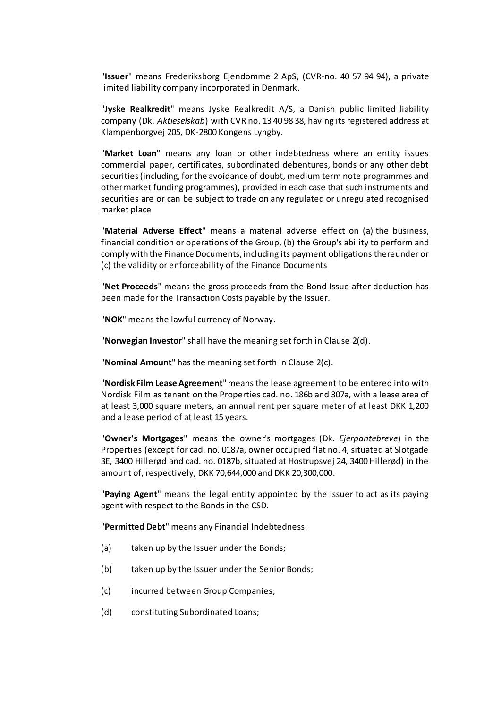"**Issuer**" means Frederiksborg Ejendomme 2 ApS, (CVR-no. 40 57 94 94), a private limited liability company incorporated in Denmark.

"**Jyske Realkredit**" means Jyske Realkredit A/S, a Danish public limited liability company (Dk. *Aktieselskab*) with CVR no. 13 40 98 38, having its registered address at Klampenborgvej 205, DK-2800 Kongens Lyngby.

"**Market Loan**" means any loan or other indebtedness where an entity issues commercial paper, certificates, subordinated debentures, bonds or any other debt securities (including, for the avoidance of doubt, medium term note programmes and other market funding programmes), provided in each case that such instruments and securities are or can be subject to trade on any regulated or unregulated recognised market place

"**Material Adverse Effect**" means a material adverse effect on (a) the business, financial condition or operations of the Group, (b) the Group's ability to perform and comply with the Finance Documents, including its payment obligations thereunder or (c) the validity or enforceability of the Finance Documents

"**Net Proceeds**" means the gross proceeds from the Bond Issue after deduction has been made for the Transaction Costs payable by the Issuer.

"**NOK**" means the lawful currency of Norway.

"**Norwegian Investor**" shall have the meaning set forth in Clau[se 2\(d](#page-11-0)).

"**Nominal Amount**" has the meaning set forth in Clause [2\(c](#page-11-1)).

"**Nordisk Film Lease Agreement**" means the lease agreement to be entered into with Nordisk Film as tenant on the Properties cad. no. 186b and 307a, with a lease area of at least 3,000 square meters, an annual rent per square meter of at least DKK 1,200 and a lease period of at least 15 years.

"**Owner's Mortgages**" means the owner's mortgages (Dk. *Ejerpantebreve*) in the Properties (except for cad. no. 0187a, owner occupied flat no. 4, situated at Slotgade 3E, 3400 Hillerød and cad. no. 0187b, situated at Hostrupsvej 24, 3400 Hillerød) in the amount of, respectively, DKK 70,644,000 and DKK 20,300,000.

"**Paying Agent**" means the legal entity appointed by the Issuer to act as its paying agent with respect to the Bonds in the CSD.

"**Permitted Debt**" means any Financial Indebtedness:

- (a) taken up by the Issuer under the Bonds;
- (b) taken up by the Issuer under the Senior Bonds;
- (c) incurred between Group Companies;
- (d) constituting Subordinated Loans;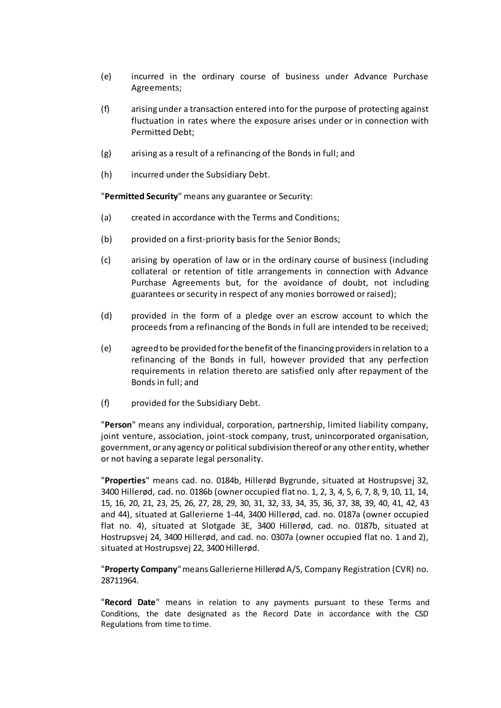- (e) incurred in the ordinary course of business under Advance Purchase Agreements;
- (f) arising under a transaction entered into for the purpose of protecting against fluctuation in rates where the exposure arises under or in connection with Permitted Debt;
- (g) arising as a result of a refinancing of the Bonds in full; and
- (h) incurred under the Subsidiary Debt.

"**Permitted Security**" means any guarantee or Security:

- (a) created in accordance with the Terms and Conditions;
- (b) provided on a first-priority basis for the Senior Bonds;
- (c) arising by operation of law or in the ordinary course of business (including collateral or retention of title arrangements in connection with Advance Purchase Agreements but, for the avoidance of doubt, not including guarantees or security in respect of any monies borrowed or raised);
- (d) provided in the form of a pledge over an escrow account to which the proceeds from a refinancing of the Bonds in full are intended to be received;
- (e) agreed to be provided for the benefit of the financing providers in relation to a refinancing of the Bonds in full, however provided that any perfection requirements in relation thereto are satisfied only after repayment of the Bonds in full; and
- (f) provided for the Subsidiary Debt.

"**Person**" means any individual, corporation, partnership, limited liability company, joint venture, association, joint-stock company, trust, unincorporated organisation, government, or any agency or political subdivision thereof or any other entity, whether or not having a separate legal personality.

"**Properties**" means cad. no. 0184b, Hillerød Bygrunde, situated at Hostrupsvej 32, 3400 Hillerød, cad. no. 0186b (owner occupied flat no. 1, 2, 3, 4, 5, 6, 7, 8, 9, 10, 11, 14, 15, 16, 20, 21, 23, 25, 26, 27, 28, 29, 30, 31, 32, 33, 34, 35, 36, 37, 38, 39, 40, 41, 42, 43 and 44), situated at Gallerierne 1-44, 3400 Hillerød, cad. no. 0187a (owner occupied flat no. 4), situated at Slotgade 3E, 3400 Hillerød, cad. no. 0187b, situated at Hostrupsvej 24, 3400 Hillerød, and cad. no. 0307a (owner occupied flat no. 1 and 2), situated at Hostrupsvej 22, 3400 Hillerød.

"**Property Company**" means Gallerierne Hillerød A/S, Company Registration (CVR) no. 28711964.

"**Record Date**" means in relation to any payments pursuant to these Terms and Conditions, the date designated as the Record Date in accordance with the CSD Regulations from time to time.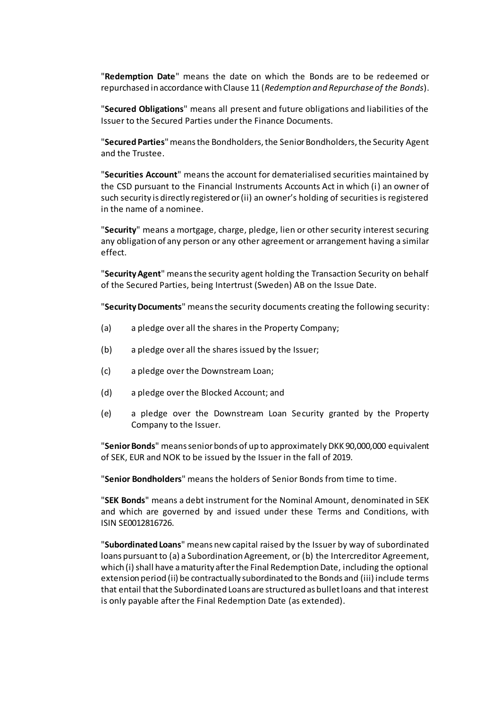"**Redemption Date**" means the date on which the Bonds are to be redeemed or repurchased in accordance with Clause [11](#page-18-1) (*[Redemption and Repurchase of the Bonds](#page-18-1)*).

"**Secured Obligations**" means all present and future obligations and liabilities of the Issuer to the Secured Parties under the Finance Documents.

"**Secured Parties**" means the Bondholders, the SeniorBondholders, the Security Agent and the Trustee.

"**Securities Account**" means the account for dematerialised securities maintained by the CSD pursuant to the Financial Instruments Accounts Act in which (i) an owner of such security is directly registered or (ii) an owner's holding of securities is registered in the name of a nominee.

"**Security**" means a mortgage, charge, pledge, lien or other security interest securing any obligation of any person or any other agreement or arrangement having a similar effect.

"**Security Agent**" means the security agent holding the Transaction Security on behalf of the Secured Parties, being Intertrust (Sweden) AB on the Issue Date.

"**Security Documents**" meansthe security documents creating the following security:

- (a) a pledge over all the shares in the Property Company;
- (b) a pledge over all the shares issued by the Issuer;
- (c) a pledge over the Downstream Loan;
- (d) a pledge over the Blocked Account; and
- (e) a pledge over the Downstream Loan Security granted by the Property Company to the Issuer.

"**Senior Bonds**" means senior bonds of up to approximately DKK 90,000,000 equivalent of SEK, EUR and NOK to be issued by the Issuer in the fall of 2019.

"**Senior Bondholders**" means the holders of Senior Bonds from time to time.

"**SEK Bonds**" means a debt instrument for the Nominal Amount, denominated in SEK and which are governed by and issued under these Terms and Conditions, with ISIN SE0012816726.

"**Subordinated Loans**" means new capital raised by the Issuer by way of subordinated loans pursuant to (a) a Subordination Agreement, or (b) the Intercreditor Agreement, which (i) shall have a maturity after the Final Redemption Date, including the optional extension period (ii) be contractually subordinated to the Bonds and (iii) include terms that entail that the Subordinated Loans are structured as bullet loans and that interest is only payable after the Final Redemption Date (as extended).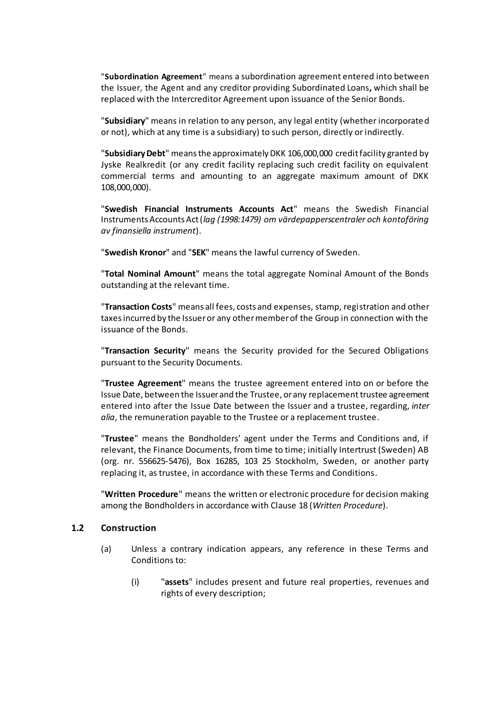"**Subordination Agreement**" means a subordination agreement entered into between the Issuer, the Agent and any creditor providing Subordinated Loans**,** which shall be replaced with the Intercreditor Agreement upon issuance of the Senior Bonds.

"**Subsidiary**" means in relation to any person, any legal entity (whether incorporated or not), which at any time is a subsidiary) to such person, directly or indirectly.

"**Subsidiary Debt**" means the approximately DKK 106,000,000 credit facility granted by Jyske Realkredit (or any credit facility replacing such credit facility on equivalent commercial terms and amounting to an aggregate maximum amount of DKK 108,000,000).

"**Swedish Financial Instruments Accounts Act**" means the Swedish Financial Instruments Accounts Act (*lag (1998:1479) om värdepapperscentraler och kontoföring av finansiella instrument*).

"**Swedish Kronor**" and "**SEK**" means the lawful currency of Sweden.

"**Total Nominal Amount**" means the total aggregate Nominal Amount of the Bonds outstanding at the relevant time.

"**Transaction Costs**" means all fees, costs and expenses, stamp, registration and other taxes incurred by the Issuer or any other member of the Group in connection with the issuance of the Bonds.

"**Transaction Security**" means the Security provided for the Secured Obligations pursuant to the Security Documents.

"**Trustee Agreement**" means the trustee agreement entered into on or before the Issue Date, between the Issuer and the Trustee, or any replacement trustee agreement entered into after the Issue Date between the Issuer and a trustee, regarding, *inter alia*, the remuneration payable to the Trustee or a replacement trustee.

"**Trustee**" means the Bondholders' agent under the Terms and Conditions and, if relevant, the Finance Documents, from time to time; initially Intertrust (Sweden) AB (org. nr. 556625-5476), Box 16285, 103 25 Stockholm, Sweden, or another party replacing it, as trustee, in accordance with these Terms and Conditions.

"**Written Procedure**" means the written or electronic procedure for decision making among the Bondholders in accordance with Clause [18](#page-31-0) (*[Written Procedure](#page-31-0)*).

#### **1.2 Construction**

- (a) Unless a contrary indication appears, any reference in these Terms and Conditions to:
	- (i) "**assets**" includes present and future real properties, revenues and rights of every description;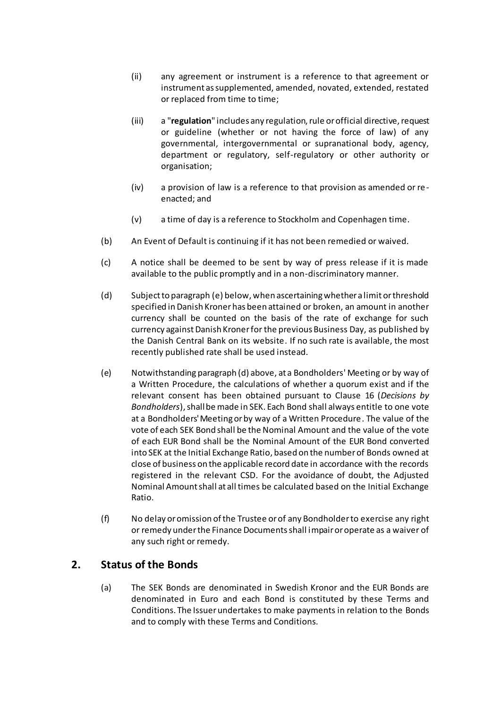- (ii) any agreement or instrument is a reference to that agreement or instrument as supplemented, amended, novated, extended, restated or replaced from time to time;
- (iii) a "**regulation**" includes any regulation, rule or official directive, request or guideline (whether or not having the force of law) of any governmental, intergovernmental or supranational body, agency, department or regulatory, self-regulatory or other authority or organisation;
- (iv) a provision of law is a reference to that provision as amended or reenacted; and
- (v) a time of day is a reference to Stockholm and Copenhagen time.
- (b) An Event of Default is continuing if it has not been remedied or waived.
- (c) A notice shall be deemed to be sent by way of press release if it is made available to the public promptly and in a non-discriminatory manner.
- (d) Subject to paragraph (e) below, when ascertaining whether a limit or threshold specified in Danish Kroner has been attained or broken, an amount in another currency shall be counted on the basis of the rate of exchange for such currency against Danish Kronerfor the previous Business Day, as published by the Danish Central Bank on its website. If no such rate is available, the most recently published rate shall be used instead.
- (e) Notwithstanding paragraph (d) above, at a Bondholders' Meeting or by way of a Written Procedure, the calculations of whether a quorum exist and if the relevant consent has been obtained pursuant to Clause [16](#page-27-0) (*Decisions by Bondholders*), shall be made in SEK. Each Bond shall always entitle to one vote at a Bondholders' Meeting or by way of a Written Procedure. The value of the vote of each SEK Bond shall be the Nominal Amount and the value of the vote of each EUR Bond shall be the Nominal Amount of the EUR Bond converted into SEK at the Initial Exchange Ratio, based on the number of Bonds owned at close of business on the applicable record date in accordance with the records registered in the relevant CSD. For the avoidance of doubt, the Adjusted Nominal Amount shall at all times be calculated based on the Initial Exchange Ratio.
- (f) No delay or omission of the Trustee or of any Bondholderto exercise any right or remedy under the Finance Documents shall impair or operate as a waiver of any such right or remedy.

# <span id="page-10-1"></span><span id="page-10-0"></span>**2. Status of the Bonds**

(a) The SEK Bonds are denominated in Swedish Kronor and the EUR Bonds are denominated in Euro and each Bond is constituted by these Terms and Conditions. The Issuer undertakes to make payments in relation to the Bonds and to comply with these Terms and Conditions.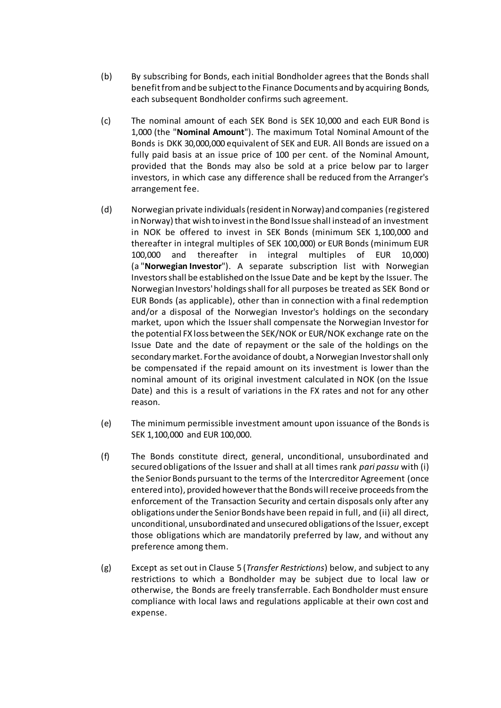- (b) By subscribing for Bonds, each initial Bondholder agrees that the Bonds shall benefit from and be subject to the Finance Documents and by acquiring Bonds, each subsequent Bondholder confirms such agreement.
- <span id="page-11-1"></span>(c) The nominal amount of each SEK Bond is SEK 10,000 and each EUR Bond is 1,000 (the "**Nominal Amount**"). The maximum Total Nominal Amount of the Bonds is DKK 30,000,000 equivalent of SEK and EUR. All Bonds are issued on a fully paid basis at an issue price of 100 per cent. of the Nominal Amount, provided that the Bonds may also be sold at a price below par to larger investors, in which case any difference shall be reduced from the Arranger's arrangement fee.
- <span id="page-11-0"></span>(d) Norwegian private individuals (resident in Norway) and companies (registered in Norway) that wish to invest in the Bond Issue shall instead of an investment in NOK be offered to invest in SEK Bonds (minimum SEK 1,100,000 and thereafter in integral multiples of SEK 100,000) or EUR Bonds (minimum EUR 100,000 and thereafter in integral multiples of EUR 10,000) (a "**Norwegian Investor**"). A separate subscription list with Norwegian Investors shall be established on the Issue Date and be kept by the Issuer. The Norwegian Investors' holdings shall for all purposes be treated as SEK Bond or EUR Bonds (as applicable), other than in connection with a final redemption and/or a disposal of the Norwegian Investor's holdings on the secondary market, upon which the Issuer shall compensate the Norwegian Investor for the potential FX loss between the SEK/NOK or EUR/NOK exchange rate on the Issue Date and the date of repayment or the sale of the holdings on the secondary market. For the avoidance of doubt, a Norwegian Investor shall only be compensated if the repaid amount on its investment is lower than the nominal amount of its original investment calculated in NOK (on the Issue Date) and this is a result of variations in the FX rates and not for any other reason.
- (e) The minimum permissible investment amount upon issuance of the Bonds is SEK 1,100,000 and EUR 100,000.
- <span id="page-11-2"></span>(f) The Bonds constitute direct, general, unconditional, unsubordinated and secured obligations of the Issuer and shall at all times rank *pari passu* with (i) the Senior Bonds pursuant to the terms of the Intercreditor Agreement (once entered into), provided however that the Bonds will receive proceeds from the enforcement of the Transaction Security and certain disposals only after any obligations under the Senior Bonds have been repaid in full, and (ii) all direct, unconditional, unsubordinated and unsecured obligations of the Issuer, except those obligations which are mandatorily preferred by law, and without any preference among them.
- (g) Except as set out in Clause [5](#page-13-0) (*Transfer [Restrictions](#page-13-0)*) below, and subject to any restrictions to which a Bondholder may be subject due to local law or otherwise, the Bonds are freely transferrable. Each Bondholder must ensure compliance with local laws and regulations applicable at their own cost and expense.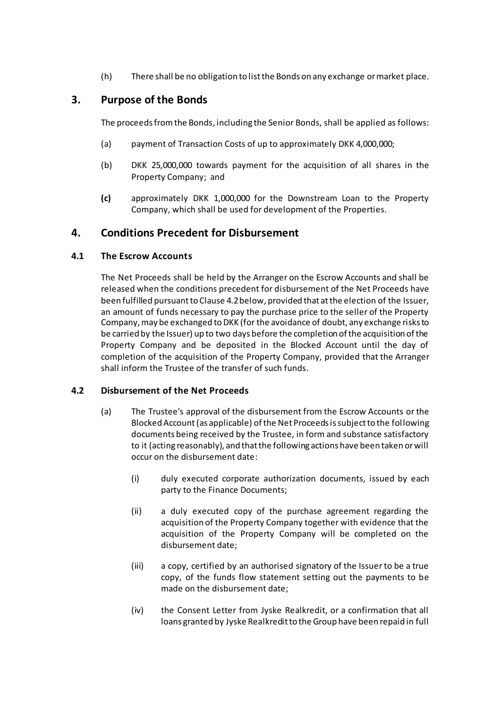(h) There shall be no obligation to list the Bonds on any exchange or market place.

### <span id="page-12-0"></span>**3. Purpose of the Bonds**

The proceeds from the Bonds, including the Senior Bonds, shall be applied as follows:

- (a) payment of Transaction Costs of up to approximately DKK 4,000,000;
- (b) DKK 25,000,000 towards payment for the acquisition of all shares in the Property Company; and
- **(c)** approximately DKK 1,000,000 for the Downstream Loan to the Property Company, which shall be used for development of the Properties.

# <span id="page-12-1"></span>**4. Conditions Precedent for Disbursement**

### **4.1 The Escrow Accounts**

The Net Proceeds shall be held by the Arranger on the Escrow Accounts and shall be released when the conditions precedent for disbursement of the Net Proceeds have been fulfilled pursuant to Claus[e 4.2b](#page-12-2)elow, provided that at the election of the Issuer, an amount of funds necessary to pay the purchase price to the seller of the Property Company, may be exchanged to DKK (for the avoidance of doubt, any exchange risks to be carried by the Issuer) up to two days before the completion of the acquisition of the Property Company and be deposited in the Blocked Account until the day of completion of the acquisition of the Property Company, provided that the Arranger shall inform the Trustee of the transfer of such funds.

#### <span id="page-12-3"></span><span id="page-12-2"></span>**4.2 Disbursement of the Net Proceeds**

- (a) The Trustee's approval of the disbursement from the Escrow Accounts or the Blocked Account (as applicable) of the Net Proceeds is subject to the following documents being received by the Trustee, in form and substance satisfactory to it (acting reasonably), and that the following actions have been taken or will occur on the disbursement date:
	- (i) duly executed corporate authorization documents, issued by each party to the Finance Documents;
	- (ii) a duly executed copy of the purchase agreement regarding the acquisition of the Property Company together with evidence that the acquisition of the Property Company will be completed on the disbursement date;
	- (iii) a copy, certified by an authorised signatory of the Issuer to be a true copy, of the funds flow statement setting out the payments to be made on the disbursement date;
	- (iv) the Consent Letter from Jyske Realkredit, or a confirmation that all loans granted by Jyske Realkredit to the Group have been repaid in full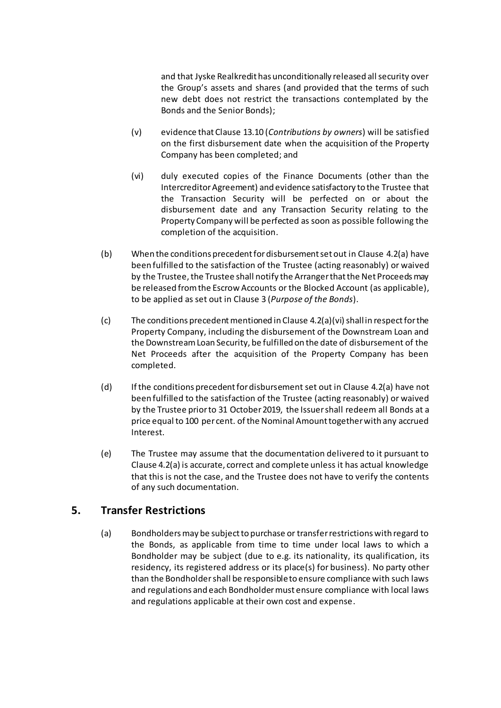and that Jyske Realkredit has unconditionally released all security over the Group's assets and shares (and provided that the terms of such new debt does not restrict the transactions contemplated by the Bonds and the Senior Bonds);

- (v) evidence that Clause [13.10](#page-23-2) (*[Contributions by owners](#page-23-2)*) will be satisfied on the first disbursement date when the acquisition of the Property Company has been completed; and
- <span id="page-13-1"></span>(vi) duly executed copies of the Finance Documents (other than the Intercreditor Agreement) and evidence satisfactory to the Trustee that the Transaction Security will be perfected on or about the disbursement date and any Transaction Security relating to the Property Company will be perfected as soon as possible following the completion of the acquisition.
- (b) When the conditions precedent for disbursement set out in Clause [4.2\(a\)](#page-12-3) have been fulfilled to the satisfaction of the Trustee (acting reasonably) or waived by the Trustee, the Trustee shall notify the Arranger that the Net Proceeds may be released from the Escrow Accounts or the Blocked Account (as applicable), to be applied as set out in Claus[e 3](#page-12-0) (*[Purpose of the Bond](#page-12-0)s*).
- $(c)$  The conditions precedent mentioned in Claus[e 4.2\(a\)\(vi\)](#page-13-1) shall in respect for the Property Company, including the disbursement of the Downstream Loan and the Downstream Loan Security, be fulfilled on the date of disbursement of the Net Proceeds after the acquisition of the Property Company has been completed.
- (d) If the conditions precedent for disbursement set out in Clause [4.2\(a\)](#page-12-3) have not been fulfilled to the satisfaction of the Trustee (acting reasonably) or waived by the Trustee prior to 31 October 2019, the Issuer shall redeem all Bonds at a price equal to 100 per cent. of the Nominal Amount together with any accrued Interest.
- (e) The Trustee may assume that the documentation delivered to it pursuant to Claus[e 4.2\(a\)](#page-12-3) is accurate, correct and complete unless it has actual knowledge that this is not the case, and the Trustee does not have to verify the contents of any such documentation.

# <span id="page-13-0"></span>**5. Transfer Restrictions**

(a) Bondholders may be subject to purchase or transfer restrictions with regard to the Bonds, as applicable from time to time under local laws to which a Bondholder may be subject (due to e.g. its nationality, its qualification, its residency, its registered address or its place(s) for business). No party other than the Bondholder shall be responsible to ensure compliance with such laws and regulations and each Bondholder must ensure compliance with local laws and regulations applicable at their own cost and expense.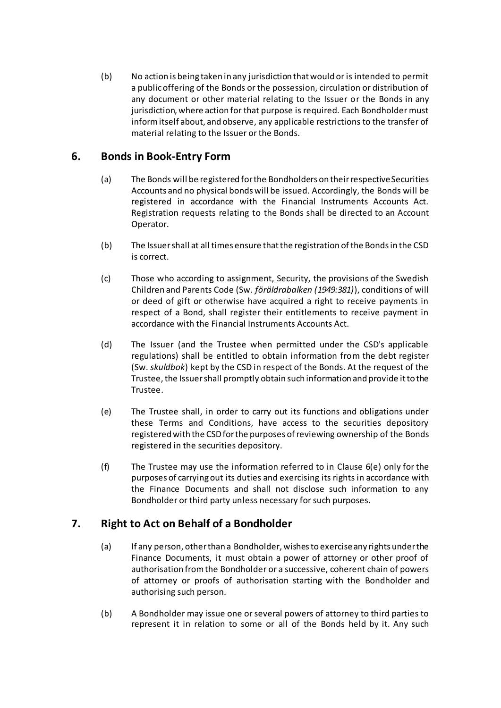<span id="page-14-4"></span>(b) No action is being taken in any jurisdiction that would or is intended to permit a public offering of the Bonds or the possession, circulation or distribution of any document or other material relating to the Issuer or the Bonds in any jurisdiction, where action for that purpose is required. Each Bondholder must inform itself about, and observe, any applicable restrictions to the transfer of material relating to the Issuer or the Bonds.

# <span id="page-14-0"></span>**6. Bonds in Book-Entry Form**

- (a) The Bonds will be registered for the Bondholders on their respective Securities Accounts and no physical bonds will be issued. Accordingly, the Bonds will be registered in accordance with the Financial Instruments Accounts Act. Registration requests relating to the Bonds shall be directed to an Account Operator.
- (b) The Issuer shall at all times ensure that the registration of the Bonds in the CSD is correct.
- (c) Those who according to assignment, Security, the provisions of the Swedish Children and Parents Code (Sw. *föräldrabalken (1949:381)*), conditions of will or deed of gift or otherwise have acquired a right to receive payments in respect of a Bond, shall register their entitlements to receive payment in accordance with the Financial Instruments Accounts Act.
- (d) The Issuer (and the Trustee when permitted under the CSD's applicable regulations) shall be entitled to obtain information from the debt register (Sw. *skuldbok*) kept by the CSD in respect of the Bonds. At the request of the Trustee, the Issuer shall promptly obtain such information and provide it to the Trustee.
- <span id="page-14-2"></span>(e) The Trustee shall, in order to carry out its functions and obligations under these Terms and Conditions, have access to the securities depository registered with the CSD for the purposes of reviewing ownership of the Bonds registered in the securities depository.
- (f) The Trustee may use the information referred to in Clause [6\(e\)](#page-14-2) only for the purposes of carrying out its duties and exercising its rights in accordance with the Finance Documents and shall not disclose such information to any Bondholder or third party unless necessary for such purposes.

# <span id="page-14-1"></span>**7. Right to Act on Behalf of a Bondholder**

- (a) If any person, other than a Bondholder, wishes to exercise any rights under the Finance Documents, it must obtain a power of attorney or other proof of authorisation from the Bondholder or a successive, coherent chain of powers of attorney or proofs of authorisation starting with the Bondholder and authorising such person.
- <span id="page-14-3"></span>(b) A Bondholder may issue one or several powers of attorney to third parties to represent it in relation to some or all of the Bonds held by it. Any such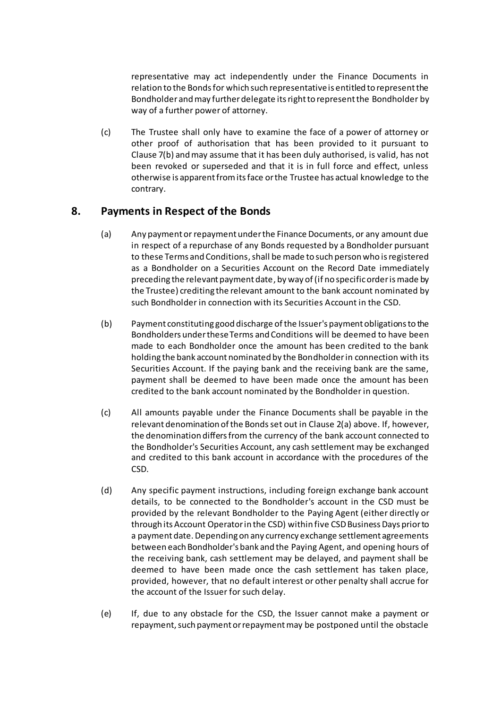representative may act independently under the Finance Documents in relation to the Bondsfor which such representative is entitled to represent the Bondholder and may further delegate its right to represent the Bondholder by way of a further power of attorney.

(c) The Trustee shall only have to examine the face of a power of attorney or other proof of authorisation that has been provided to it pursuant to Clause [7\(b\)](#page-14-3) and may assume that it has been duly authorised, is valid, has not been revoked or superseded and that it is in full force and effect, unless otherwise is apparent from its face or the Trustee has actual knowledge to the contrary.

### <span id="page-15-0"></span>**8. Payments in Respect of the Bonds**

- (a) Any payment or repayment under the Finance Documents, or any amount due in respect of a repurchase of any Bonds requested by a Bondholder pursuant to these Terms and Conditions, shall be made to such person who is registered as a Bondholder on a Securities Account on the Record Date immediately preceding the relevant payment date, by way of (if no specific order is made by the Trustee) crediting the relevant amount to the bank account nominated by such Bondholder in connection with its Securities Account in the CSD.
- (b) Payment constituting good discharge of the Issuer's payment obligations to the Bondholders under these Terms and Conditions will be deemed to have been made to each Bondholder once the amount has been credited to the bank holding the bank account nominated by the Bondholder in connection with its Securities Account. If the paying bank and the receiving bank are the same, payment shall be deemed to have been made once the amount has been credited to the bank account nominated by the Bondholder in question.
- (c) All amounts payable under the Finance Documents shall be payable in the relevant denomination of the Bonds set out in Clause [2\(a\)](#page-10-1) above. If, however, the denomination differs from the currency of the bank account connected to the Bondholder's Securities Account, any cash settlement may be exchanged and credited to this bank account in accordance with the procedures of the CSD.
- (d) Any specific payment instructions, including foreign exchange bank account details, to be connected to the Bondholder's account in the CSD must be provided by the relevant Bondholder to the Paying Agent (either directly or through its Account Operator in the CSD) within five CSD Business Days prior to a payment date. Depending on any currency exchange settlement agreements between each Bondholder's bank and the Paying Agent, and opening hours of the receiving bank, cash settlement may be delayed, and payment shall be deemed to have been made once the cash settlement has taken place, provided, however, that no default interest or other penalty shall accrue for the account of the Issuer for such delay.
- (e) If, due to any obstacle for the CSD, the Issuer cannot make a payment or repayment, such payment or repayment may be postponed until the obstacle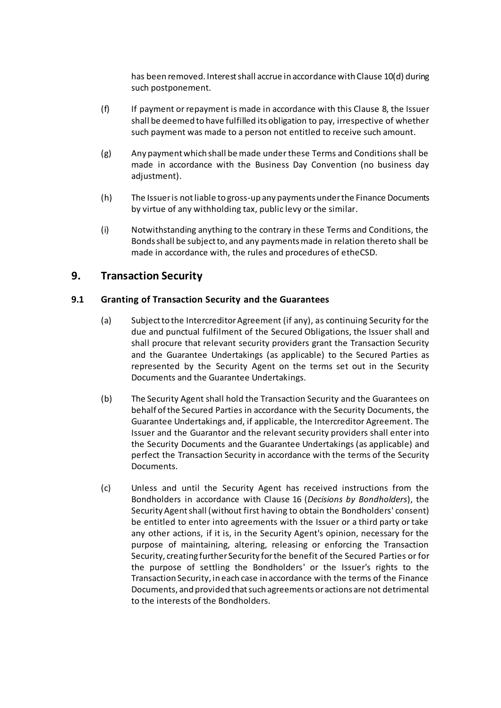has been removed. Interest shall accrue in accordance with Clause [10\(d\)](#page-18-5) during such postponement.

- (f) If payment or repayment is made in accordance with this Clause [8,](#page-15-0) the Issuer shall be deemed to have fulfilled its obligation to pay, irrespective of whether such payment was made to a person not entitled to receive such amount.
- (g) Any payment which shall be made under these Terms and Conditions shall be made in accordance with the Business Day Convention (no business day adjustment).
- (h) The Issuer is not liable to gross-up any payments under the Finance Documents by virtue of any withholding tax, public levy or the similar.
- (i) Notwithstanding anything to the contrary in these Terms and Conditions, the Bonds shall be subject to, and any payments made in relation thereto shall be made in accordance with, the rules and procedures of etheCSD.

### <span id="page-16-0"></span>**9. Transaction Security**

#### **9.1 Granting of Transaction Security and the Guarantees**

- (a) Subject to the Intercreditor Agreement (if any), as continuing Security for the due and punctual fulfilment of the Secured Obligations, the Issuer shall and shall procure that relevant security providers grant the Transaction Security and the Guarantee Undertakings (as applicable) to the Secured Parties as represented by the Security Agent on the terms set out in the Security Documents and the Guarantee Undertakings.
- (b) The Security Agent shall hold the Transaction Security and the Guarantees on behalf of the Secured Parties in accordance with the Security Documents, the Guarantee Undertakings and, if applicable, the Intercreditor Agreement. The Issuer and the Guarantor and the relevant security providers shall enter into the Security Documents and the Guarantee Undertakings (as applicable) and perfect the Transaction Security in accordance with the terms of the Security Documents.
- (c) Unless and until the Security Agent has received instructions from the Bondholders in accordance with Clause [16](#page-27-0) (*[Decisions by Bondholders](#page-27-0)*), the Security Agent shall (without first having to obtain the Bondholders' consent) be entitled to enter into agreements with the Issuer or a third party or take any other actions, if it is, in the Security Agent's opinion, necessary for the purpose of maintaining, altering, releasing or enforcing the Transaction Security, creating further Security for the benefit of the Secured Parties or for the purpose of settling the Bondholders' or the Issuer's rights to the Transaction Security, in each case in accordance with the terms of the Finance Documents, and provided that such agreements or actions are not detrimental to the interests of the Bondholders.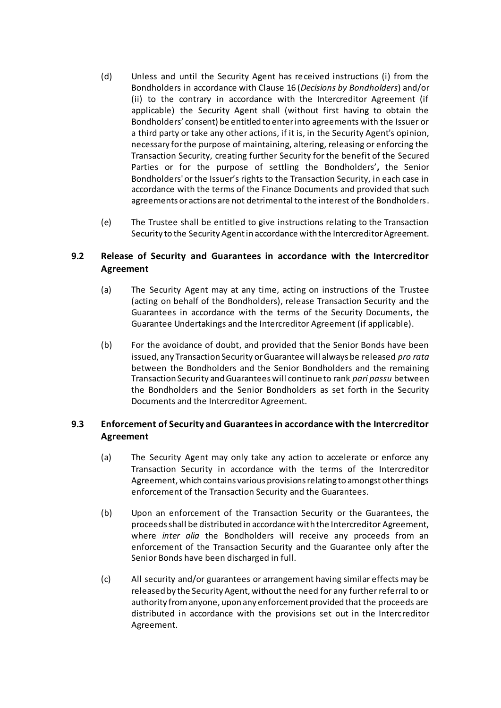- (d) Unless and until the Security Agent has received instructions (i) from the Bondholders in accordance with Claus[e 16](#page-27-0) (*[Decisions by Bondholders](#page-27-0)*) and/or (ii) to the contrary in accordance with the Intercreditor Agreement (if applicable) the Security Agent shall (without first having to obtain the Bondholders' consent) be entitled to enter into agreements with the Issuer or a third party or take any other actions, if it is, in the Security Agent's opinion, necessary for the purpose of maintaining, altering, releasing or enforcing the Transaction Security, creating further Security for the benefit of the Secured Parties or for the purpose of settling the Bondholders'**,** the Senior Bondholders' or the Issuer's rights to the Transaction Security, in each case in accordance with the terms of the Finance Documents and provided that such agreements or actions are not detrimental to the interest of the Bondholders.
- (e) The Trustee shall be entitled to give instructions relating to the Transaction Security to the Security Agent in accordance with the Intercreditor Agreement.

### **9.2 Release of Security and Guarantees in accordance with the Intercreditor Agreement**

- (a) The Security Agent may at any time, acting on instructions of the Trustee (acting on behalf of the Bondholders), release Transaction Security and the Guarantees in accordance with the terms of the Security Documents, the Guarantee Undertakings and the Intercreditor Agreement (if applicable).
- (b) For the avoidance of doubt, and provided that the Senior Bonds have been issued, any Transaction Security or Guarantee will always be released *pro rata* between the Bondholders and the Senior Bondholders and the remaining Transaction Security and Guaranteeswill continue to rank *pari passu* between the Bondholders and the Senior Bondholders as set forth in the Security Documents and the Intercreditor Agreement.

### **9.3 Enforcement of Security and Guaranteesin accordance with the Intercreditor Agreement**

- <span id="page-17-0"></span>(a) The Security Agent may only take any action to accelerate or enforce any Transaction Security in accordance with the terms of the Intercreditor Agreement, which contains various provisions relating to amongst other things enforcement of the Transaction Security and the Guarantees.
- (b) Upon an enforcement of the Transaction Security or the Guarantees, the proceeds shall be distributed in accordance with the Intercreditor Agreement, where *inter alia* the Bondholders will receive any proceeds from an enforcement of the Transaction Security and the Guarantee only after the Senior Bonds have been discharged in full.
- <span id="page-17-1"></span>(c) All security and/or guarantees or arrangement having similar effects may be released by the Security Agent, without the need for any further referral to or authority from anyone, upon any enforcement provided that the proceeds are distributed in accordance with the provisions set out in the Intercreditor Agreement.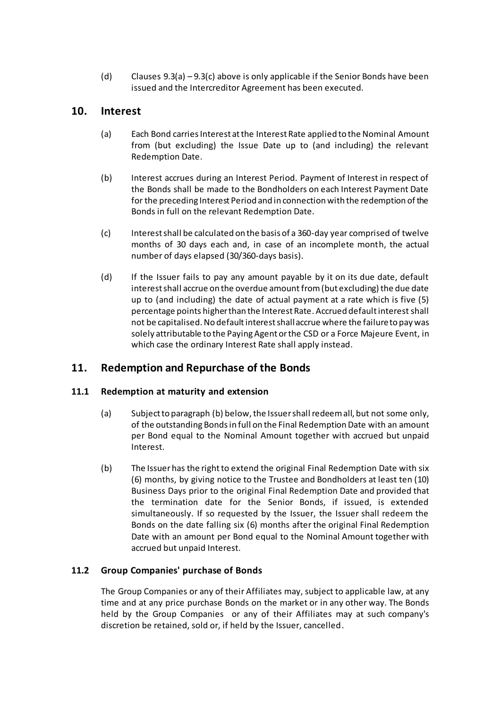(d) Clauses  $9.3(a) - 9.3(c)$  $9.3(a) - 9.3(c)$  above is only applicable if the Senior Bonds have been issued and the Intercreditor Agreement has been executed.

### <span id="page-18-3"></span><span id="page-18-0"></span>**10. Interest**

- (a) Each Bond carries Interest at the Interest Rate applied to the Nominal Amount from (but excluding) the Issue Date up to (and including) the relevant Redemption Date.
- (b) Interest accrues during an Interest Period. Payment of Interest in respect of the Bonds shall be made to the Bondholders on each Interest Payment Date for the preceding Interest Period and in connection with the redemption of the Bonds in full on the relevant Redemption Date.
- <span id="page-18-4"></span>(c) Interest shall be calculated on the basis of a 360-day year comprised of twelve months of 30 days each and, in case of an incomplete month, the actual number of days elapsed (30/360-days basis).
- <span id="page-18-5"></span>(d) If the Issuer fails to pay any amount payable by it on its due date, default interest shall accrue on the overdue amount from (but excluding) the due date up to (and including) the date of actual payment at a rate which is five (5) percentage points higher than the Interest Rate. Accrued default interest shall not be capitalised. No default interest shall accrue where the failure to pay was solely attributable to the Paying Agent or the CSD or a Force Majeure Event, in which case the ordinary Interest Rate shall apply instead.

# <span id="page-18-1"></span>**11. Redemption and Repurchase of the Bonds**

### **11.1 Redemption at maturity and extension**

- (a) Subject to paragraph [\(b\)](#page-18-2) below, the Issuer shall redeem all, but not some only, of the outstanding Bondsin full on the Final Redemption Date with an amount per Bond equal to the Nominal Amount together with accrued but unpaid Interest.
- <span id="page-18-2"></span>(b) The Issuer has the right to extend the original Final Redemption Date with six (6) months, by giving notice to the Trustee and Bondholders at least ten (10) Business Days prior to the original Final Redemption Date and provided that the termination date for the Senior Bonds, if issued, is extended simultaneously. If so requested by the Issuer, the Issuer shall redeem the Bonds on the date falling six (6) months after the original Final Redemption Date with an amount per Bond equal to the Nominal Amount together with accrued but unpaid Interest.

### **11.2 Group Companies' purchase of Bonds**

The Group Companies or any of their Affiliates may, subject to applicable law, at any time and at any price purchase Bonds on the market or in any other way. The Bonds held by the Group Companies or any of their Affiliates may at such company's discretion be retained, sold or, if held by the Issuer, cancelled.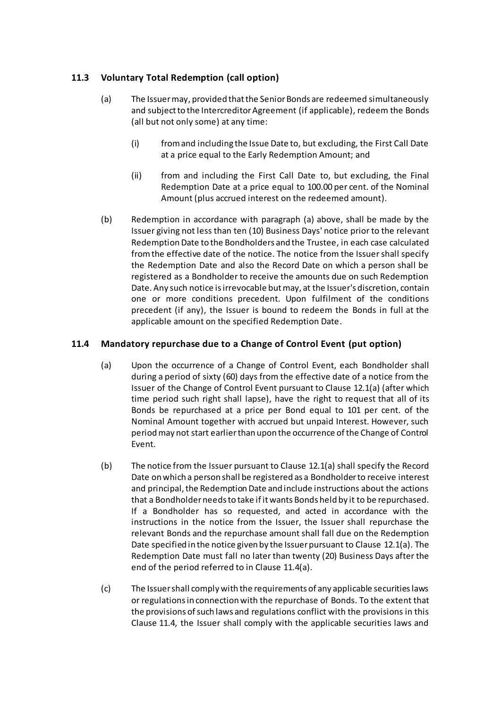### <span id="page-19-2"></span>**11.3 Voluntary Total Redemption (call option)**

- (a) The Issuer may, provided that the Senior Bonds are redeemed simultaneously and subject to the Intercreditor Agreement (if applicable), redeem the Bonds (all but not only some) at any time:
	- (i) from and including the Issue Date to, but excluding, the First Call Date at a price equal to the Early Redemption Amount; and
	- (ii) from and including the First Call Date to, but excluding, the Final Redemption Date at a price equal to 100.00 per cent. of the Nominal Amount (plus accrued interest on the redeemed amount).
- (b) Redemption in accordance with paragraph (a) above, shall be made by the Issuer giving not less than ten (10) Business Days' notice prior to the relevant Redemption Date to the Bondholders and the Trustee, in each case calculated from the effective date of the notice. The notice from the Issuer shall specify the Redemption Date and also the Record Date on which a person shall be registered as a Bondholder to receive the amounts due on such Redemption Date. Any such notice is irrevocable but may, at the Issuer's discretion, contain one or more conditions precedent. Upon fulfilment of the conditions precedent (if any), the Issuer is bound to redeem the Bonds in full at the applicable amount on the specified Redemption Date.

### <span id="page-19-1"></span><span id="page-19-0"></span>**11.4 Mandatory repurchase due to a Change of Control Event (put option)**

- (a) Upon the occurrence of a Change of Control Event, each Bondholder shall during a period of sixty (60) days from the effective date of a notice from the Issuer of the Change of Control Event pursuant to Clause [12.1\(a\)](#page-20-1) (after which time period such right shall lapse), have the right to request that all of its Bonds be repurchased at a price per Bond equal to 101 per cent. of the Nominal Amount together with accrued but unpaid Interest. However, such period may not start earlier than upon the occurrence of the Change of Control Event.
- (b) The notice from the Issuer pursuant to Clause [12.1\(a\)](#page-20-1) shall specify the Record Date on which a person shall be registered as a Bondholder to receive interest and principal, the Redemption Date and include instructions about the actions that a Bondholder needs to take if it wants Bonds held by it to be repurchased. If a Bondholder has so requested, and acted in accordance with the instructions in the notice from the Issuer, the Issuer shall repurchase the relevant Bonds and the repurchase amount shall fall due on the Redemption Date specified in the notice given by the Issuer pursuant to Clause [12.1\(a\).](#page-20-1) The Redemption Date must fall no later than twenty (20) Business Days after the end of the period referred to in Clau[se 11.4\(a](#page-19-0)).
- (c) The Issuer shall comply with the requirements of any applicable securities laws or regulations in connection with the repurchase of Bonds. To the extent that the provisions of such laws and regulations conflict with the provisions in this Clause [11.4,](#page-19-1) the Issuer shall comply with the applicable securities laws and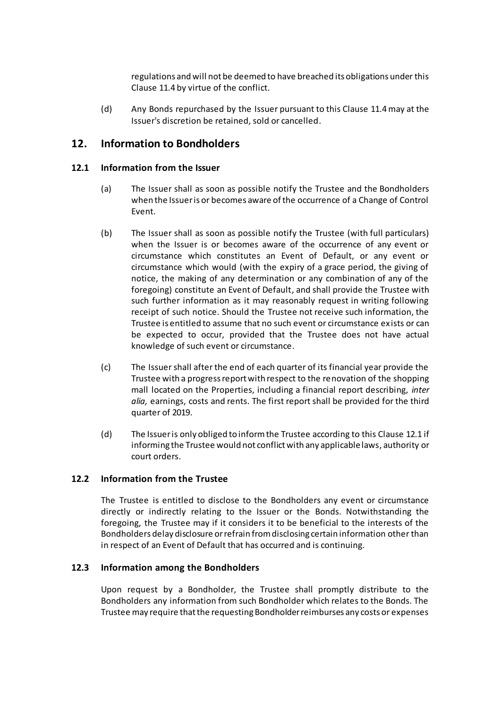regulations and will not be deemed to have breached its obligations under this Clause [11.4](#page-19-1) by virtue of the conflict.

(d) Any Bonds repurchased by the Issuer pursuant to this Clause [11.4](#page-19-1) may at the Issuer's discretion be retained, sold or cancelled.

### <span id="page-20-0"></span>**12. Information to Bondholders**

#### <span id="page-20-2"></span><span id="page-20-1"></span>**12.1 Information from the Issuer**

- (a) The Issuer shall as soon as possible notify the Trustee and the Bondholders when the Issuer is or becomes aware of the occurrence of a Change of Control Event.
- <span id="page-20-4"></span>(b) The Issuer shall as soon as possible notify the Trustee (with full particulars) when the Issuer is or becomes aware of the occurrence of any event or circumstance which constitutes an Event of Default, or any event or circumstance which would (with the expiry of a grace period, the giving of notice, the making of any determination or any combination of any of the foregoing) constitute an Event of Default, and shall provide the Trustee with such further information as it may reasonably request in writing following receipt of such notice. Should the Trustee not receive such information, the Trustee is entitled to assume that no such event or circumstance exists or can be expected to occur, provided that the Trustee does not have actual knowledge of such event or circumstance.
- (c) The Issuer shall after the end of each quarter of its financial year provide the Trustee with a progress report with respect to the renovation of the shopping mall located on the Properties, including a financial report describing, *inter alia,* earnings, costs and rents. The first report shall be provided for the third quarter of 2019.
- (d) The Issuer is only obliged to inform the Trustee according to this Clause [12.1](#page-20-2) if informing the Trustee would not conflict with any applicable laws, authority or court orders.

#### **12.2 Information from the Trustee**

The Trustee is entitled to disclose to the Bondholders any event or circumstance directly or indirectly relating to the Issuer or the Bonds. Notwithstanding the foregoing, the Trustee may if it considers it to be beneficial to the interests of the Bondholders delay disclosure or refrain from disclosing certain information other than in respect of an Event of Default that has occurred and is continuing.

#### <span id="page-20-3"></span>**12.3 Information among the Bondholders**

Upon request by a Bondholder, the Trustee shall promptly distribute to the Bondholders any information from such Bondholder which relates to the Bonds. The Trustee may require that the requesting Bondholder reimburses any costs or expenses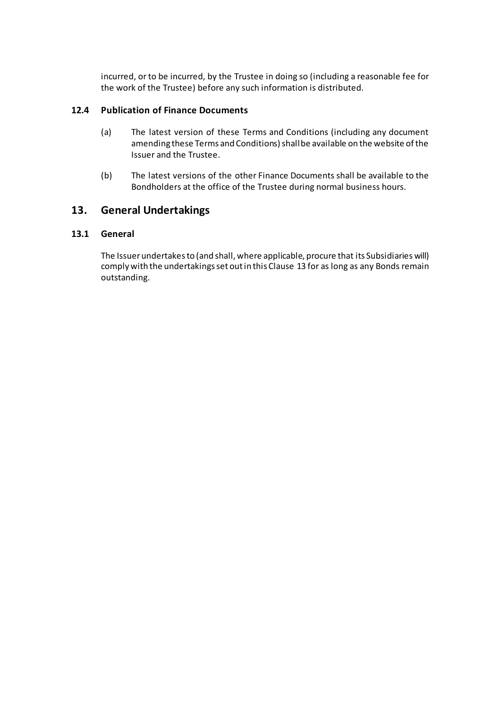incurred, or to be incurred, by the Trustee in doing so (including a reasonable fee for the work of the Trustee) before any such information is distributed.

### **12.4 Publication of Finance Documents**

- (a) The latest version of these Terms and Conditions (including any document amending these Terms and Conditions) shall be available on the website of the Issuer and the Trustee.
- (b) The latest versions of the other Finance Documents shall be available to the Bondholders at the office of the Trustee during normal business hours.

# <span id="page-21-0"></span>**13. General Undertakings**

#### **13.1 General**

The Issuer undertakes to (and shall, where applicable, procure that its Subsidiaries will) comply with the undertakings set out in this Clause [13](#page-21-0) for as long as any Bonds remain outstanding.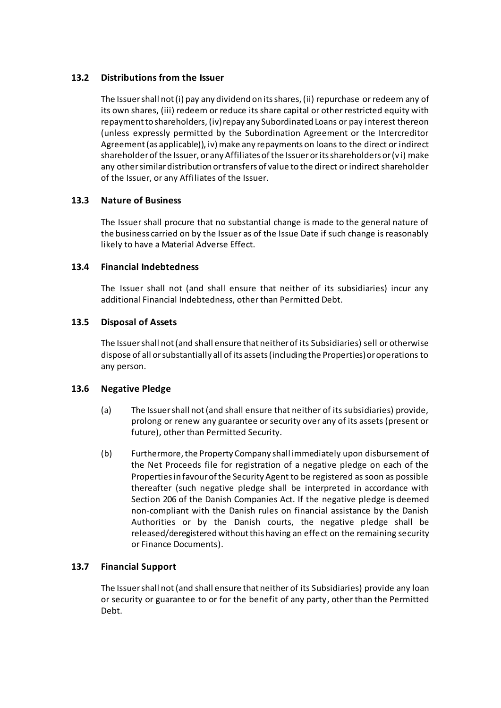### **13.2 Distributions from the Issuer**

The Issuer shall not (i) pay any dividend on its shares, (ii) repurchase or redeem any of its own shares, (iii) redeem or reduce its share capital or other restricted equity with repayment to shareholders, (iv) repay any Subordinated Loans or pay interest thereon (unless expressly permitted by the Subordination Agreement or the Intercreditor Agreement (as applicable)), iv) make any repayments on loans to the direct or indirect shareholder of the Issuer, or any Affiliates of the Issuer or its shareholders or (v i) make any other similar distribution or transfers of value to the direct or indirect shareholder of the Issuer, or any Affiliates of the Issuer.

### **13.3 Nature of Business**

The Issuer shall procure that no substantial change is made to the general nature of the business carried on by the Issuer as of the Issue Date if such change is reasonably likely to have a Material Adverse Effect.

#### **13.4 Financial Indebtedness**

The Issuer shall not (and shall ensure that neither of its subsidiaries) incur any additional Financial Indebtedness, other than Permitted Debt.

#### **13.5 Disposal of Assets**

The Issuer shall not (and shall ensure that neither of its Subsidiaries) sell or otherwise dispose of all or substantially all of its assets (including the Properties) or operations to any person.

#### **13.6 Negative Pledge**

- (a) The Issuer shall not (and shall ensure that neither of its subsidiaries) provide, prolong or renew any guarantee or security over any of its assets (present or future), other than Permitted Security.
- (b) Furthermore, the Property Company shall immediately upon disbursement of the Net Proceeds file for registration of a negative pledge on each of the Properties in favour of the Security Agent to be registered as soon as possible thereafter (such negative pledge shall be interpreted in accordance with Section 206 of the Danish Companies Act. If the negative pledge is deemed non-compliant with the Danish rules on financial assistance by the Danish Authorities or by the Danish courts, the negative pledge shall be released/deregistered without this having an effect on the remaining security or Finance Documents).

#### **13.7 Financial Support**

The Issuer shall not (and shall ensure that neither of its Subsidiaries) provide any loan or security or guarantee to or for the benefit of any party, other than the Permitted Debt.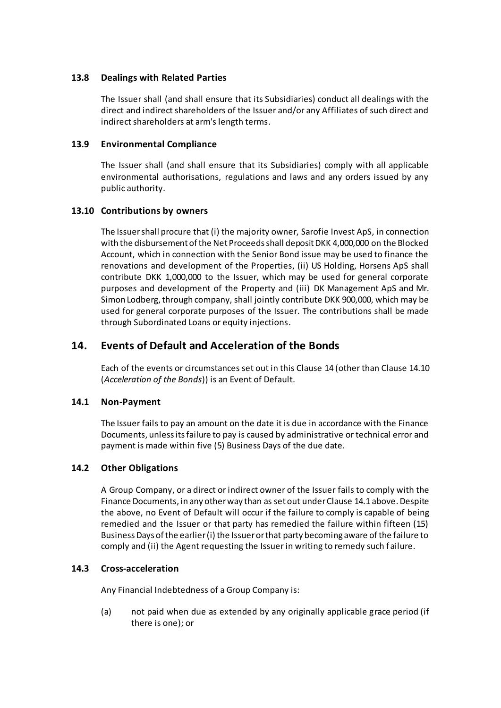#### **13.8 Dealings with Related Parties**

The Issuer shall (and shall ensure that its Subsidiaries) conduct all dealings with the direct and indirect shareholders of the Issuer and/or any Affiliates of such direct and indirect shareholders at arm's length terms.

#### **13.9 Environmental Compliance**

The Issuer shall (and shall ensure that its Subsidiaries) comply with all applicable environmental authorisations, regulations and laws and any orders issued by any public authority.

#### <span id="page-23-2"></span>**13.10 Contributions by owners**

The Issuer shall procure that (i) the majority owner, Sarofie Invest ApS, in connection with the disbursement of the Net Proceeds shall deposit DKK 4,000,000 on the Blocked Account, which in connection with the Senior Bond issue may be used to finance the renovations and development of the Properties, (ii) US Holding, Horsens ApS shall contribute DKK 1,000,000 to the Issuer, which may be used for general corporate purposes and development of the Property and (iii) DK Management ApS and Mr. Simon Lodberg, through company, shall jointly contribute DKK 900,000, which may be used for general corporate purposes of the Issuer. The contributions shall be made through Subordinated Loans or equity injections.

### <span id="page-23-0"></span>**14. Events of Default and Acceleration of the Bonds**

Each of the events or circumstances set out in this Clause [14](#page-23-0) (other than Clause [14.10](#page-25-1) (*[Acceleration of the Bonds](#page-25-1)*)) is an Event of Default.

#### <span id="page-23-1"></span>**14.1 Non-Payment**

The Issuer fails to pay an amount on the date it is due in accordance with the Finance Documents, unless its failure to pay is caused by administrative or technical error and payment is made within five (5) Business Days of the due date.

#### **14.2 Other Obligations**

A Group Company, or a direct or indirect owner of the Issuer fails to comply with the Finance Documents, in any other way than as set out under Clause [14.1](#page-23-1) above. Despite the above, no Event of Default will occur if the failure to comply is capable of being remedied and the Issuer or that party has remedied the failure within fifteen (15) Business Days of the earlier (i) the Issuer or that party becoming aware of the failure to comply and (ii) the Agent requesting the Issuer in writing to remedy such failure.

#### <span id="page-23-3"></span>**14.3 Cross-acceleration**

Any Financial Indebtedness of a Group Company is:

(a) not paid when due as extended by any originally applicable grace period (if there is one); or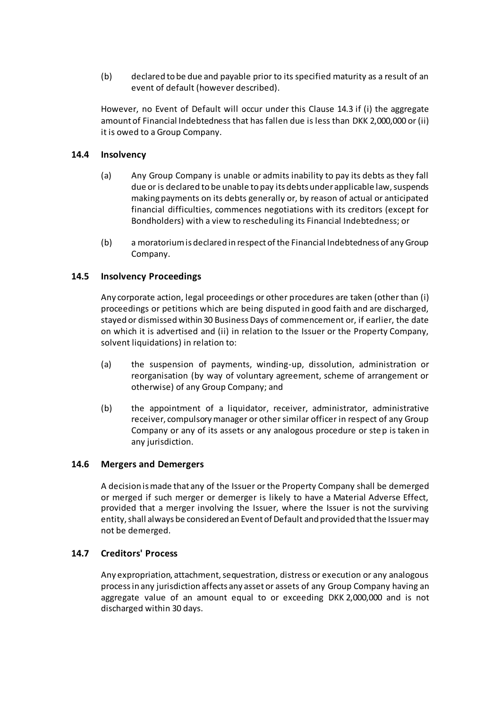(b) declared to be due and payable prior to its specified maturity as a result of an event of default (however described).

However, no Event of Default will occur under this Claus[e 14.3](#page-23-3) if (i) the aggregate amount of Financial Indebtedness that has fallen due is less than DKK 2,000,000 or (ii) it is owed to a Group Company.

#### **14.4 Insolvency**

- (a) Any Group Company is unable or admits inability to pay its debts as they fall due or is declared to be unable to pay its debts under applicable law, suspends making payments on its debts generally or, by reason of actual or anticipated financial difficulties, commences negotiations with its creditors (except for Bondholders) with a view to rescheduling its Financial Indebtedness; or
- (b) a moratorium is declared in respect of the Financial Indebtedness of any Group Company.

#### **14.5 Insolvency Proceedings**

Any corporate action, legal proceedings or other procedures are taken (other than (i) proceedings or petitions which are being disputed in good faith and are discharged, stayed or dismissed within 30 Business Days of commencement or, if earlier, the date on which it is advertised and (ii) in relation to the Issuer or the Property Company, solvent liquidations) in relation to:

- (a) the suspension of payments, winding-up, dissolution, administration or reorganisation (by way of voluntary agreement, scheme of arrangement or otherwise) of any Group Company; and
- <span id="page-24-0"></span>(b) the appointment of a liquidator, receiver, administrator, administrative receiver, compulsory manager or other similar officer in respect of any Group Company or any of its assets or any analogous procedure or step is taken in any jurisdiction.

#### **14.6 Mergers and Demergers**

A decision is made that any of the Issuer or the Property Company shall be demerged or merged if such merger or demerger is likely to have a Material Adverse Effect, provided that a merger involving the Issuer, where the Issuer is not the surviving entity, shall always be considered an Event of Default and provided that the Issuer may not be demerged.

#### **14.7 Creditors' Process**

Any expropriation, attachment, sequestration, distress or execution or any analogous process in any jurisdiction affects any asset or assets of any Group Company having an aggregate value of an amount equal to or exceeding DKK 2,000,000 and is not discharged within 30 days.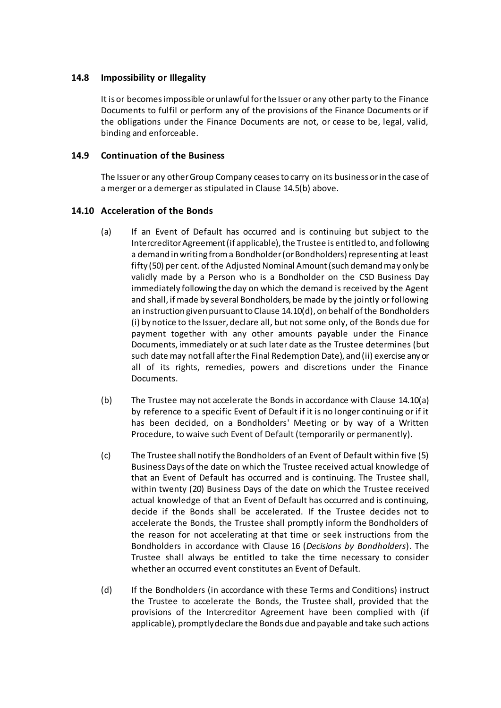#### **14.8 Impossibility or Illegality**

It is or becomes impossible or unlawful for the Issuer or any other party to the Finance Documents to fulfil or perform any of the provisions of the Finance Documents or if the obligations under the Finance Documents are not, or cease to be, legal, valid, binding and enforceable.

#### <span id="page-25-0"></span>**14.9 Continuation of the Business**

The Issuer or any other Group Company ceases to carry on its business or in the case of a merger or a demerger as stipulated in Claus[e 14.5\(b\)](#page-24-0) above.

#### <span id="page-25-1"></span>**14.10 Acceleration of the Bonds**

- (a) If an Event of Default has occurred and is continuing but subject to the Intercreditor Agreement (if applicable), the Trustee is entitled to, and following a demand in writing from a Bondholder (or Bondholders) representing at least fifty (50) per cent. of the Adjusted Nominal Amount (such demand may only be validly made by a Person who is a Bondholder on the CSD Business Day immediately following the day on which the demand is received by the Agent and shall, if made by several Bondholders, be made by the jointly or following an instruction given pursuant to Clause [14.10\(d\),](#page-25-2) on behalf of the Bondholders (i) by notice to the Issuer, declare all, but not some only, of the Bonds due for payment together with any other amounts payable under the Finance Documents, immediately or at such later date as the Trustee determines (but such date may not fall after the Final Redemption Date), and (ii) exercise any or all of its rights, remedies, powers and discretions under the Finance Documents.
- (b) The Trustee may not accelerate the Bonds in accordance with Clause [14.10\(a\)](#page-25-1) by reference to a specific Event of Default if it is no longer continuing or if it has been decided, on a Bondholders' Meeting or by way of a Written Procedure, to waive such Event of Default (temporarily or permanently).
- <span id="page-25-3"></span>(c) The Trustee shall notify the Bondholders of an Event of Default within five (5) Business Days of the date on which the Trustee received actual knowledge of that an Event of Default has occurred and is continuing. The Trustee shall, within twenty (20) Business Days of the date on which the Trustee received actual knowledge of that an Event of Default has occurred and is continuing, decide if the Bonds shall be accelerated. If the Trustee decides not to accelerate the Bonds, the Trustee shall promptly inform the Bondholders of the reason for not accelerating at that time or seek instructions from the Bondholders in accordance with Clause [16](#page-27-0) (*[Decisions by Bondholders](#page-27-0)*). The Trustee shall always be entitled to take the time necessary to consider whether an occurred event constitutes an Event of Default.
- <span id="page-25-2"></span>(d) If the Bondholders (in accordance with these Terms and Conditions) instruct the Trustee to accelerate the Bonds, the Trustee shall, provided that the provisions of the Intercreditor Agreement have been complied with (if applicable), promptly declare the Bonds due and payable and take such actions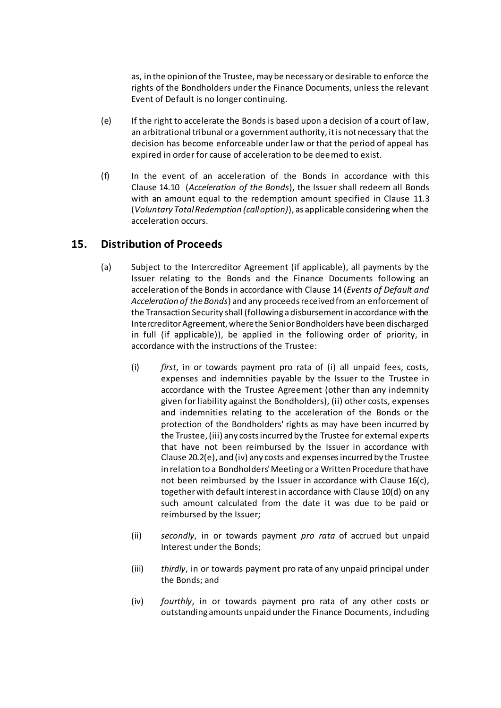as, in the opinion of the Trustee,may be necessary or desirable to enforce the rights of the Bondholders under the Finance Documents, unless the relevant Event of Default is no longer continuing.

- (e) If the right to accelerate the Bonds is based upon a decision of a court of law, an arbitrational tribunal or a government authority, it is not necessary that the decision has become enforceable under law or that the period of appeal has expired in order for cause of acceleration to be deemed to exist.
- (f) In the event of an acceleration of the Bonds in accordance with this Clause [14.10](#page-25-1) (*[Acceleration of the Bonds](#page-25-1)*), the Issuer shall redeem all Bonds with an amount equal to the redemption amount specified in Clause [11.3](#page-19-2) (*[Voluntary Total Redemption](#page-19-2) (call option)*), as applicable considering when the acceleration occurs.

### <span id="page-26-0"></span>**15. Distribution of Proceeds**

- (a) Subject to the Intercreditor Agreement (if applicable), all payments by the Issuer relating to the Bonds and the Finance Documents following an acceleration of the Bonds in accordance with Clause [14](#page-23-0) (*[Events of Default and](#page-23-0)  [Acceleration of the Bonds](#page-23-0)*) and any proceeds received from an enforcement of the Transaction Security shall (following a disbursement in accordance with the Intercreditor Agreement, where the Senior Bondholders have been discharged in full (if applicable)), be applied in the following order of priority, in accordance with the instructions of the Trustee:
	- (i) *first*, in or towards payment pro rata of (i) all unpaid fees, costs, expenses and indemnities payable by the Issuer to the Trustee in accordance with the Trustee Agreement (other than any indemnity given for liability against the Bondholders), (ii) other costs, expenses and indemnities relating to the acceleration of the Bonds or the protection of the Bondholders' rights as may have been incurred by the Trustee, (iii) any costs incurred by the Trustee for external experts that have not been reimbursed by the Issuer in accordance with Clause [20.2\(e\),](#page-34-0) and (iv) any costs and expenses incurred by the Trustee in relation to a Bondholders'Meeting or a Written Procedure that have not been reimbursed by the Issuer in accordance with Clause [16\(c\),](#page-27-1) together with default interest in accordance with Claus[e 10\(d\)](#page-18-5) on any such amount calculated from the date it was due to be paid or reimbursed by the Issuer;
	- (ii) *secondly*, in or towards payment *pro rata* of accrued but unpaid Interest under the Bonds;
	- (iii) *thirdly*, in or towards payment pro rata of any unpaid principal under the Bonds; and
	- (iv) *fourthly*, in or towards payment pro rata of any other costs or outstanding amounts unpaid under the Finance Documents, including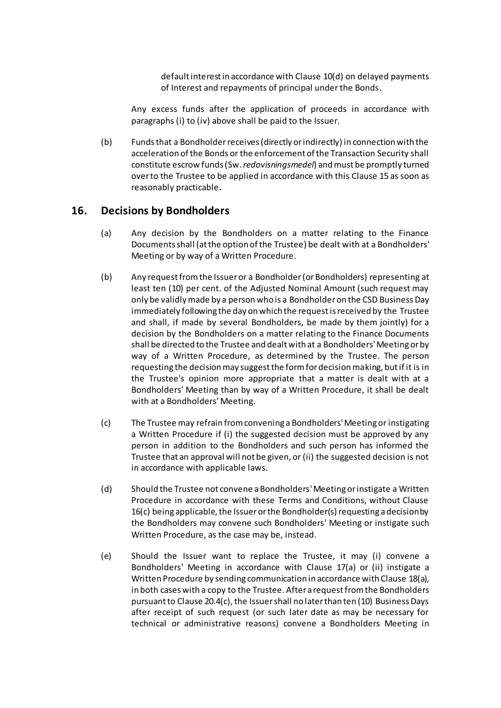default interest in accordance with Clause [10\(d\)](#page-18-5) on delayed payments of Interest and repayments of principal under the Bonds.

Any excess funds after the application of proceeds in accordance with paragraphs (i) to (iv) above shall be paid to the Issuer.

(b) Funds that a Bondholderreceives (directly or indirectly) in connection with the acceleration of the Bonds or the enforcement of the Transaction Security shall constitute escrow funds (Sw. *redovisningsmedel*) and must be promptly turned over to the Trustee to be applied in accordance with this Clause [15](#page-26-0) as soon as reasonably practicable**.**

### <span id="page-27-0"></span>**16. Decisions by Bondholders**

- (a) Any decision by the Bondholders on a matter relating to the Finance Documents shall (at the option of the Trustee) be dealt with at a Bondholders' Meeting or by way of a Written Procedure.
- (b) Any request from the Issuer or a Bondholder(or Bondholders) representing at least ten (10) per cent. of the Adjusted Nominal Amount (such request may only be validly made by a person who is a Bondholderon the CSD Business Day immediately following the day on which the request is received by the Trustee and shall, if made by several Bondholders, be made by them jointly) for a decision by the Bondholders on a matter relating to the Finance Documents shall be directed to the Trustee and dealt with at a Bondholders'Meeting or by way of a Written Procedure, as determined by the Trustee. The person requesting the decision may suggest the form for decision making, but if it is in the Trustee's opinion more appropriate that a matter is dealt with at a Bondholders' Meeting than by way of a Written Procedure, it shall be dealt with at a Bondholders' Meeting.
- <span id="page-27-1"></span>(c) The Trustee may refrain from convening a Bondholders'Meeting or instigating a Written Procedure if (i) the suggested decision must be approved by any person in addition to the Bondholders and such person has informed the Trustee that an approval will not be given, or (ii) the suggested decision is not in accordance with applicable laws.
- (d) Should the Trustee not convene a Bondholders'Meeting or instigate a Written Procedure in accordance with these Terms and Conditions, without Clause [16\(c\)](#page-27-0) being applicable, the Issuer or the Bondholder(s) requesting a decision by the Bondholders may convene such Bondholders' Meeting or instigate such Written Procedure, as the case may be, instead.
- (e) Should the Issuer want to replace the Trustee, it may (i) convene a Bondholders' Meeting in accordance with Clause [17\(a\)](#page-30-1) or (ii) instigate a Written Procedure by sending communication in accordance with Claus[e 18\(a\),](#page-31-2) in both cases with a copy to the Trustee. After a request from the Bondholders pursuant to Claus[e 20.4\(c\),](#page-35-0) the Issuer shall no later than ten (10) Business Days after receipt of such request (or such later date as may be necessary for technical or administrative reasons) convene a Bondholders Meeting in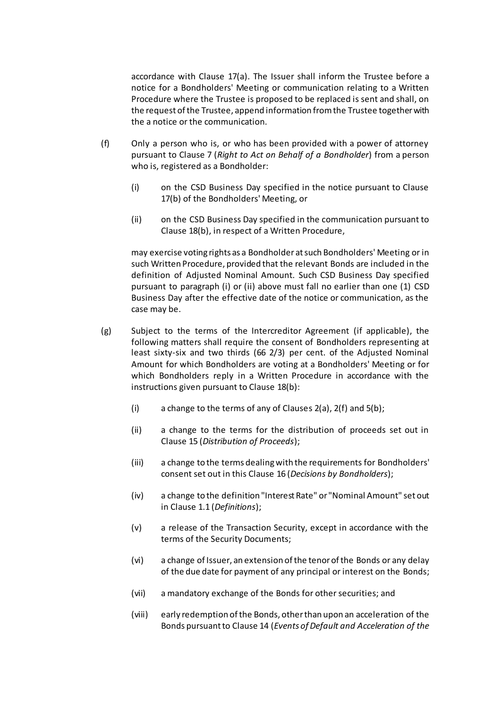accordance with Clause [17\(a\).](#page-30-1) The Issuer shall inform the Trustee before a notice for a Bondholders' Meeting or communication relating to a Written Procedure where the Trustee is proposed to be replaced is sent and shall, on the request of the Trustee, append information from the Trustee together with the a notice or the communication.

- (f) Only a person who is, or who has been provided with a power of attorney pursuant to Clause [7](#page-14-1) (*[Right to Act on Behalf of a Bondholder](#page-14-1)*) from a person who is, registered as a Bondholder:
	- (i) on the CSD Business Day specified in the notice pursuant to Clause [17\(b\)](#page-30-2) of the Bondholders' Meeting, or
	- (ii) on the CSD Business Day specified in the communication pursuant to Clause [18\(b\),](#page-31-3) in respect of a Written Procedure,

may exercise voting rights as a Bondholder at such Bondholders' Meeting or in such Written Procedure, provided that the relevant Bonds are included in the definition of Adjusted Nominal Amount. Such CSD Business Day specified pursuant to paragraph (i) or (ii) above must fall no earlier than one (1) CSD Business Day after the effective date of the notice or communication, as the case may be.

- <span id="page-28-0"></span>(g) Subject to the terms of the Intercreditor Agreement (if applicable), the following matters shall require the consent of Bondholders representing at least sixty-six and two thirds (66 2/3) per cent. of the Adjusted Nominal Amount for which Bondholders are voting at a Bondholders' Meeting or for which Bondholders reply in a Written Procedure in accordance with the instructions given pursuant to Clause [18\(b\)](#page-31-3):
	- (i) a change to the terms of any of Clauses [2\(a\)](#page-10-1), [2\(f\)](#page-11-2) and [5\(b](#page-14-4));
	- (ii) a change to the terms for the distribution of proceeds set out in Clause [15](#page-26-0) (*[Distribution of Proceeds](#page-26-0)*);
	- (iii) a change to the terms dealing with the requirements for Bondholders' consent set out in this Clause [16](#page-27-0) (*[Decisions by Bondholder](#page-27-0)s*);
	- (iv) a change to the definition "Interest Rate" or "Nominal Amount" set out in Claus[e 1.1](#page-2-1) (*Definitions*);
	- (v) a release of the Transaction Security, except in accordance with the terms of the Security Documents;
	- (vi) a change of Issuer, an extension of the tenor of the Bonds or any delay of the due date for payment of any principal or interest on the Bonds;
	- (vii) a mandatory exchange of the Bonds for other securities; and
	- (viii) early redemption of the Bonds, other than upon an acceleration of the Bonds pursuant to Clause [14](#page-23-0) (*[Events of Default and Acceleration of the](#page-23-0)*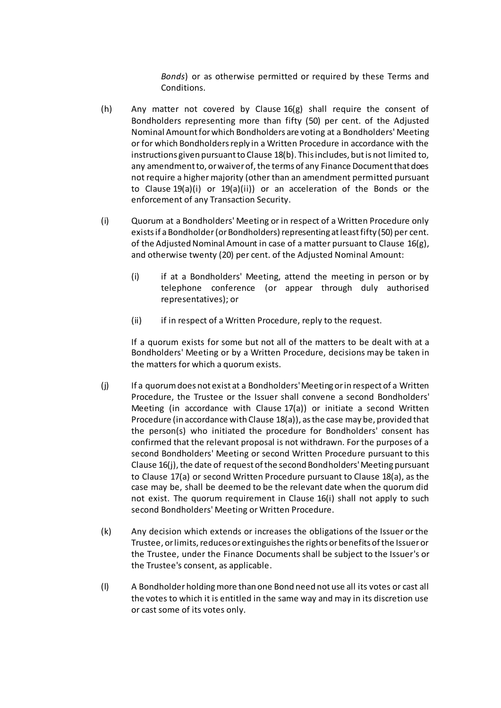*[Bonds](#page-23-0)*) or as otherwise permitted or required by these Terms and Conditions.

- <span id="page-29-1"></span>(h) Any matter not covered by Clause  $16(g)$  shall require the consent of Bondholders representing more than fifty (50) per cent. of the Adjusted Nominal Amount for which Bondholders are voting at a Bondholders' Meeting or for which Bondholders reply in a Written Procedure in accordance with the instructions given pursuant to Clause [18\(b\).](#page-31-3) This includes, but is not limited to, any amendment to, or waiver of, the terms of any Finance Document that does not require a higher majority (other than an amendment permitted pursuant to Clause [19\(a\)\(i\)](#page-32-1) or [19\(a\)\(ii\)](#page-32-2)) or an acceleration of the Bonds or the enforcement of any Transaction Security.
- <span id="page-29-0"></span>(i) Quorum at a Bondholders' Meeting or in respect of a Written Procedure only exists if a Bondholder(or Bondholders) representing at least fifty (50) per cent. of the Adjusted Nominal Amount in case of a matter pursuant to Clause [16\(g\),](#page-28-0) and otherwise twenty (20) per cent. of the Adjusted Nominal Amount:
	- (i) if at a Bondholders' Meeting, attend the meeting in person or by telephone conference (or appear through duly authorised representatives); or
	- (ii) if in respect of a Written Procedure, reply to the request.

If a quorum exists for some but not all of the matters to be dealt with at a Bondholders' Meeting or by a Written Procedure, decisions may be taken in the matters for which a quorum exists.

- (j) If a quorum does not exist at a Bondholders'Meeting or in respect of a Written Procedure, the Trustee or the Issuer shall convene a second Bondholders' Meeting (in accordance with Clause [17\(a\)](#page-30-1)) or initiate a second Written Procedure (in accordance with Clause [18\(a\)\)](#page-31-2), as the case may be, provided that the person(s) who initiated the procedure for Bondholders' consent has confirmed that the relevant proposal is not withdrawn. For the purposes of a second Bondholders' Meeting or second Written Procedure pursuant to this Claus[e 16\(j\),](#page-27-0) the date of request of the second Bondholders'Meeting pursuant to Claus[e 17\(a\)](#page-30-1) or second Written Procedure pursuant to Claus[e 18\(a\),](#page-31-2) as the case may be, shall be deemed to be the relevant date when the quorum did not exist. The quorum requirement in Clause [16\(i\)](#page-29-0) shall not apply to such second Bondholders' Meeting or Written Procedure.
- (k) Any decision which extends or increases the obligations of the Issuer or the Trustee, or limits, reduces or extinguishes the rights or benefits of the Issuer or the Trustee, under the Finance Documents shall be subject to the Issuer's or the Trustee's consent, as applicable.
- (l) A Bondholder holding more than one Bond need not use all its votes or cast all the votes to which it is entitled in the same way and may in its discretion use or cast some of its votes only.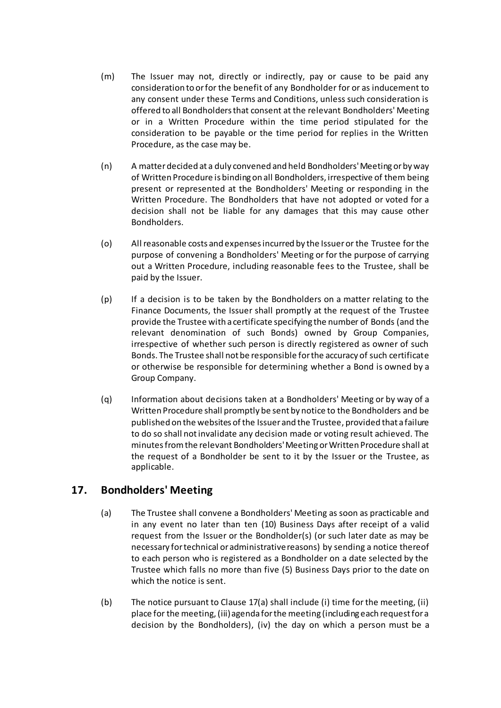- (m) The Issuer may not, directly or indirectly, pay or cause to be paid any consideration to or for the benefit of any Bondholder for or as inducement to any consent under these Terms and Conditions, unless such consideration is offered to all Bondholders that consent at the relevant Bondholders' Meeting or in a Written Procedure within the time period stipulated for the consideration to be payable or the time period for replies in the Written Procedure, as the case may be.
- (n) A matter decided at a duly convened and held Bondholders' Meeting or by way of Written Procedure is binding on all Bondholders, irrespective of them being present or represented at the Bondholders' Meeting or responding in the Written Procedure. The Bondholders that have not adopted or voted for a decision shall not be liable for any damages that this may cause other Bondholders.
- (o) All reasonable costs and expenses incurred by the Issuer or the Trustee for the purpose of convening a Bondholders' Meeting or for the purpose of carrying out a Written Procedure, including reasonable fees to the Trustee, shall be paid by the Issuer.
- (p) If a decision is to be taken by the Bondholders on a matter relating to the Finance Documents, the Issuer shall promptly at the request of the Trustee provide the Trustee with a certificate specifying the number of Bonds (and the relevant denomination of such Bonds) owned by Group Companies, irrespective of whether such person is directly registered as owner of such Bonds. The Trustee shall not be responsible for the accuracy of such certificate or otherwise be responsible for determining whether a Bond is owned by a Group Company.
- <span id="page-30-3"></span>(q) Information about decisions taken at a Bondholders' Meeting or by way of a Written Procedure shall promptly be sent by notice to the Bondholders and be published on the websites of the Issuer and the Trustee, provided that a failure to do so shall not invalidate any decision made or voting result achieved. The minutes from the relevant Bondholders'Meeting or Written Procedure shall at the request of a Bondholder be sent to it by the Issuer or the Trustee, as applicable.

# <span id="page-30-1"></span><span id="page-30-0"></span>**17. Bondholders' Meeting**

- (a) The Trustee shall convene a Bondholders' Meeting as soon as practicable and in any event no later than ten (10) Business Days after receipt of a valid request from the Issuer or the Bondholder(s) (or such later date as may be necessary for technical or administrative reasons) by sending a notice thereof to each person who is registered as a Bondholder on a date selected by the Trustee which falls no more than five (5) Business Days prior to the date on which the notice is sent.
- <span id="page-30-2"></span>(b) The notice pursuant to Clause [17\(a\)](#page-30-1) shall include (i) time for the meeting, (ii) place for the meeting, (iii) agenda for the meeting (including each request for a decision by the Bondholders), (iv) the day on which a person must be a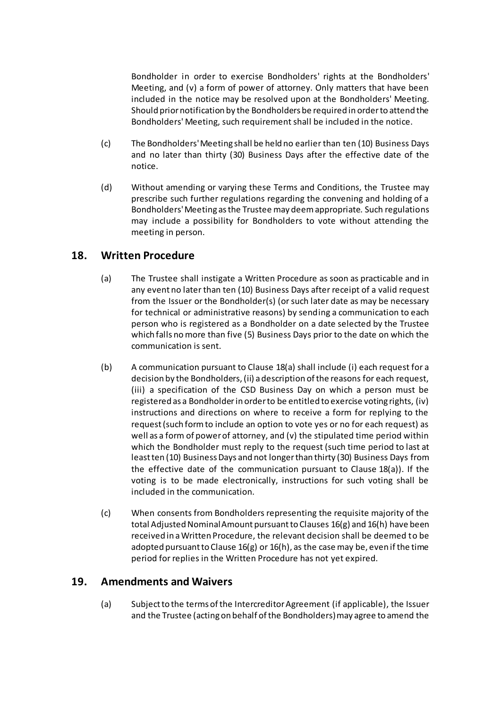Bondholder in order to exercise Bondholders' rights at the Bondholders' Meeting, and (v) a form of power of attorney. Only matters that have been included in the notice may be resolved upon at the Bondholders' Meeting. Should prior notification by the Bondholders be required in order to attend the Bondholders' Meeting, such requirement shall be included in the notice.

- (c) The Bondholders'Meeting shall be held no earlier than ten (10) Business Days and no later than thirty (30) Business Days after the effective date of the notice.
- (d) Without amending or varying these Terms and Conditions, the Trustee may prescribe such further regulations regarding the convening and holding of a Bondholders'Meeting as the Trustee may deem appropriate. Such regulations may include a possibility for Bondholders to vote without attending the meeting in person.

### <span id="page-31-2"></span><span id="page-31-0"></span>**18. Written Procedure**

- (a) The Trustee shall instigate a Written Procedure as soon as practicable and in any event no later than ten (10) Business Days after receipt of a valid request from the Issuer or the Bondholder(s) (or such later date as may be necessary for technical or administrative reasons) by sending a communication to each person who is registered as a Bondholder on a date selected by the Trustee which falls no more than five (5) Business Days prior to the date on which the communication is sent.
- <span id="page-31-3"></span>(b) A communication pursuant to Clause [18\(a\)](#page-31-2) shall include (i) each request for a decision by the Bondholders, (ii) a description of the reasons for each request, (iii) a specification of the CSD Business Day on which a person must be registered as a Bondholderin order to be entitled to exercise voting rights, (iv) instructions and directions on where to receive a form for replying to the request (such form to include an option to vote yes or no for each request) as well as a form of power of attorney, and (v) the stipulated time period within which the Bondholder must reply to the request (such time period to last at least ten (10) Business Days and not longer than thirty (30) Business Days from the effective date of the communication pursuant to Clause [18\(a\)\)](#page-31-2). If the voting is to be made electronically, instructions for such voting shall be included in the communication.
- (c) When consents from Bondholders representing the requisite majority of the total Adjusted Nominal Amount pursuant to Clauses [16\(g\)](#page-28-0) an[d 16\(h\)](#page-29-1) have been received in a Written Procedure, the relevant decision shall be deemed to be adopted pursuant to Clause [16\(g\)](#page-28-0) o[r 16\(h\),](#page-29-1) as the case may be, even if the time period for replies in the Written Procedure has not yet expired.

# <span id="page-31-4"></span><span id="page-31-1"></span>**19. Amendments and Waivers**

(a) Subject to the terms of the Intercreditor Agreement (if applicable), the Issuer and the Trustee (acting on behalf of the Bondholders) may agree to amend the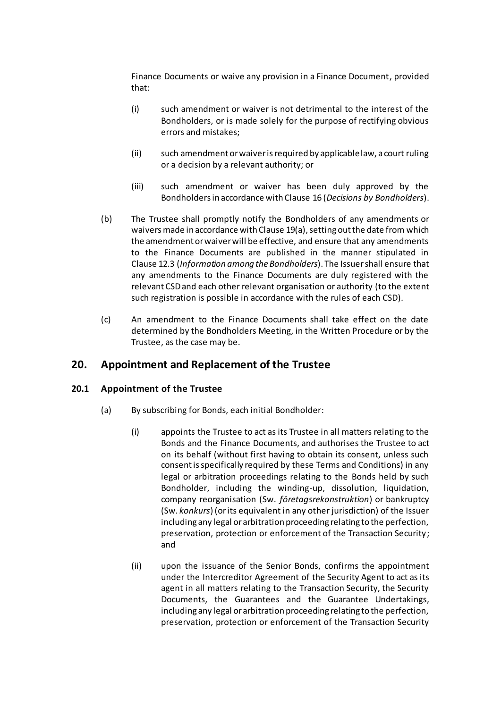Finance Documents or waive any provision in a Finance Document, provided that:

- <span id="page-32-1"></span>(i) such amendment or waiver is not detrimental to the interest of the Bondholders, or is made solely for the purpose of rectifying obvious errors and mistakes;
- <span id="page-32-2"></span>(ii) such amendment or waiver is required by applicable law, a court ruling or a decision by a relevant authority; or
- (iii) such amendment or waiver has been duly approved by the Bondholders in accordance with Clause [16](#page-27-0) (*[Decisions by Bondholders](#page-27-0)*).
- <span id="page-32-4"></span>(b) The Trustee shall promptly notify the Bondholders of any amendments or waivers made in accordance with Clause [19\(a\),](#page-31-4) setting out the date from which the amendment or waiver will be effective, and ensure that any amendments to the Finance Documents are published in the manner stipulated in Clause [12.3](#page-20-3) (*Information among the Bondholders*). The Issuer shall ensure that any amendments to the Finance Documents are duly registered with the relevant CSD and each other relevant organisation or authority (to the extent such registration is possible in accordance with the rules of each CSD).
- (c) An amendment to the Finance Documents shall take effect on the date determined by the Bondholders Meeting, in the Written Procedure or by the Trustee, as the case may be.

# <span id="page-32-0"></span>**20. Appointment and Replacement of the Trustee**

#### <span id="page-32-3"></span>**20.1 Appointment of the Trustee**

- (a) By subscribing for Bonds, each initial Bondholder:
	- (i) appoints the Trustee to act as its Trustee in all matters relating to the Bonds and the Finance Documents, and authorises the Trustee to act on its behalf (without first having to obtain its consent, unless such consent is specifically required by these Terms and Conditions) in any legal or arbitration proceedings relating to the Bonds held by such Bondholder, including the winding-up, dissolution, liquidation, company reorganisation (Sw. *företagsrekonstruktion*) or bankruptcy (Sw. *konkurs*) (or its equivalent in any other jurisdiction) of the Issuer including any legal or arbitration proceeding relating to the perfection, preservation, protection or enforcement of the Transaction Security; and
	- (ii) upon the issuance of the Senior Bonds, confirms the appointment under the Intercreditor Agreement of the Security Agent to act as its agent in all matters relating to the Transaction Security, the Security Documents, the Guarantees and the Guarantee Undertakings, including any legal or arbitration proceeding relating to the perfection, preservation, protection or enforcement of the Transaction Security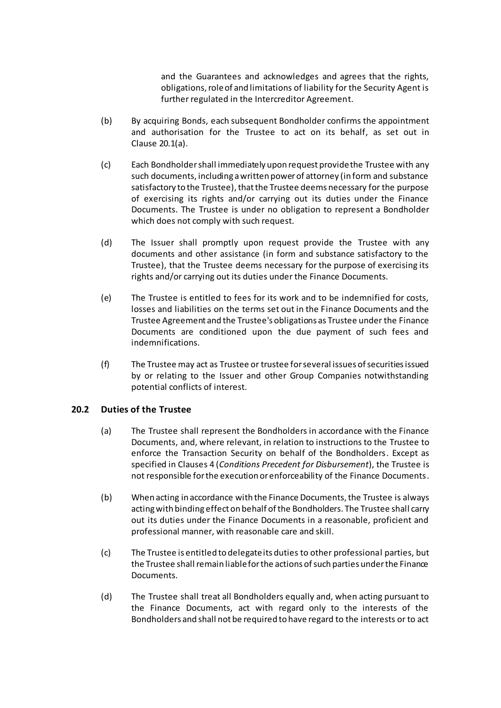and the Guarantees and acknowledges and agrees that the rights, obligations, role of and limitations of liability for the Security Agent is further regulated in the Intercreditor Agreement.

- (b) By acquiring Bonds, each subsequent Bondholder confirms the appointment and authorisation for the Trustee to act on its behalf, as set out in Clause [20.1\(a\).](#page-32-3)
- <span id="page-33-0"></span>(c) Each Bondholdershall immediately upon request provide the Trustee with any such documents, including a written power of attorney (in form and substance satisfactory to the Trustee), that the Trustee deems necessary for the purpose of exercising its rights and/or carrying out its duties under the Finance Documents. The Trustee is under no obligation to represent a Bondholder which does not comply with such request.
- (d) The Issuer shall promptly upon request provide the Trustee with any documents and other assistance (in form and substance satisfactory to the Trustee), that the Trustee deems necessary for the purpose of exercising its rights and/or carrying out its duties under the Finance Documents.
- (e) The Trustee is entitled to fees for its work and to be indemnified for costs, losses and liabilities on the terms set out in the Finance Documents and the Trustee Agreement and the Trustee's obligations as Trustee under the Finance Documents are conditioned upon the due payment of such fees and indemnifications.
- (f) The Trustee may act as Trustee or trustee for several issues of securities issued by or relating to the Issuer and other Group Companies notwithstanding potential conflicts of interest.

#### **20.2 Duties of the Trustee**

- (a) The Trustee shall represent the Bondholders in accordance with the Finance Documents, and, where relevant, in relation to instructions to the Trustee to enforce the Transaction Security on behalf of the Bondholders. Except as specified in Clause[s 4](#page-12-1) (*[Conditions Precedent](#page-12-1) for Disbursement*), the Trustee is not responsible for the execution or enforceability of the Finance Documents.
- (b) When acting in accordance with the Finance Documents, the Trustee is always acting with binding effect on behalf of the Bondholders. The Trustee shall carry out its duties under the Finance Documents in a reasonable, proficient and professional manner, with reasonable care and skill.
- (c) The Trustee is entitled to delegate its duties to other professional parties, but the Trustee shall remain liable for the actions of such parties under the Finance Documents.
- (d) The Trustee shall treat all Bondholders equally and, when acting pursuant to the Finance Documents, act with regard only to the interests of the Bondholders and shall not be required to have regard to the interests or to act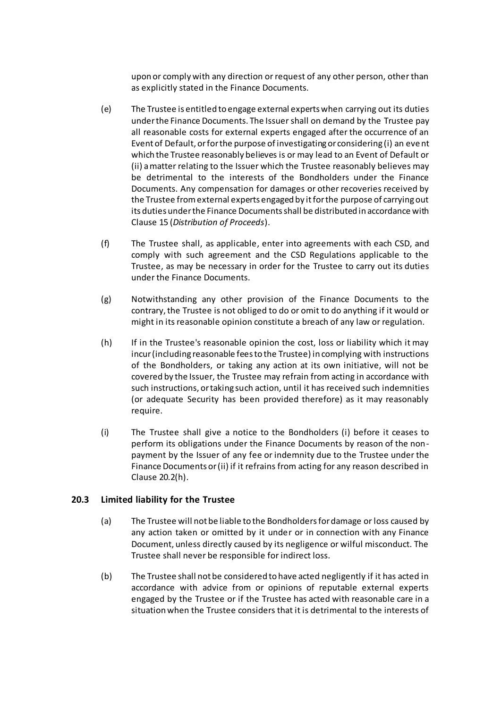upon or comply with any direction or request of any other person, other than as explicitly stated in the Finance Documents.

- <span id="page-34-0"></span>(e) The Trustee is entitled to engage external experts when carrying out its duties under the Finance Documents. The Issuer shall on demand by the Trustee pay all reasonable costs for external experts engaged after the occurrence of an Event of Default, or for the purpose of investigating or considering (i) an event which the Trustee reasonably believes is or may lead to an Event of Default or (ii) a matter relating to the Issuer which the Trustee reasonably believes may be detrimental to the interests of the Bondholders under the Finance Documents. Any compensation for damages or other recoveries received by the Trustee from external experts engaged by it for the purpose of carrying out its duties under the Finance Documents shall be distributed in accordance with Clause [15](#page-26-0) (*[Distribution of Proceeds](#page-26-0)*).
- (f) The Trustee shall, as applicable, enter into agreements with each CSD, and comply with such agreement and the CSD Regulations applicable to the Trustee, as may be necessary in order for the Trustee to carry out its duties under the Finance Documents.
- (g) Notwithstanding any other provision of the Finance Documents to the contrary, the Trustee is not obliged to do or omit to do anything if it would or might in its reasonable opinion constitute a breach of any law or regulation.
- <span id="page-34-1"></span>(h) If in the Trustee's reasonable opinion the cost, loss or liability which it may incur (including reasonable fees to the Trustee) in complying with instructions of the Bondholders, or taking any action at its own initiative, will not be covered by the Issuer, the Trustee may refrain from acting in accordance with such instructions, or taking such action, until it has received such indemnities (or adequate Security has been provided therefore) as it may reasonably require.
- <span id="page-34-2"></span>(i) The Trustee shall give a notice to the Bondholders (i) before it ceases to perform its obligations under the Finance Documents by reason of the nonpayment by the Issuer of any fee or indemnity due to the Trustee under the Finance Documents or (ii) if it refrains from acting for any reason described in Clause [20.2\(h\).](#page-34-1)

#### **20.3 Limited liability for the Trustee**

- (a) The Trustee will not be liable to the Bondholders for damage or loss caused by any action taken or omitted by it under or in connection with any Finance Document, unless directly caused by its negligence or wilful misconduct. The Trustee shall never be responsible for indirect loss.
- (b) The Trustee shall not be considered to have acted negligently if it has acted in accordance with advice from or opinions of reputable external experts engaged by the Trustee or if the Trustee has acted with reasonable care in a situation when the Trustee considers that it is detrimental to the interests of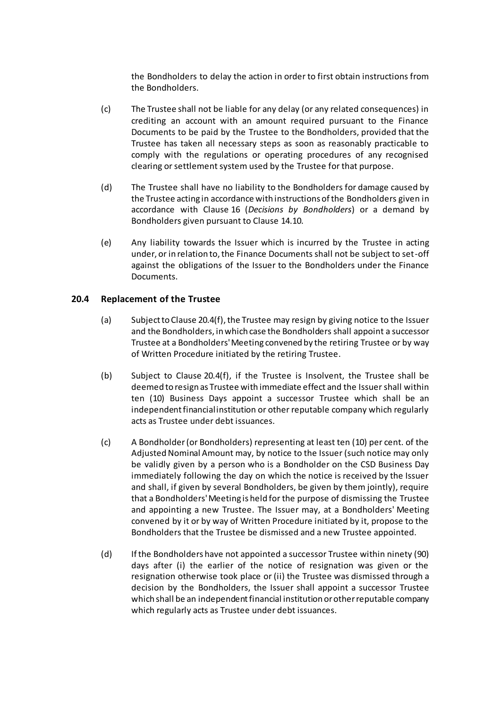the Bondholders to delay the action in order to first obtain instructions from the Bondholders.

- (c) The Trustee shall not be liable for any delay (or any related consequences) in crediting an account with an amount required pursuant to the Finance Documents to be paid by the Trustee to the Bondholders, provided that the Trustee has taken all necessary steps as soon as reasonably practicable to comply with the regulations or operating procedures of any recognised clearing or settlement system used by the Trustee for that purpose.
- (d) The Trustee shall have no liability to the Bondholders for damage caused by the Trustee acting in accordance with instructions of the Bondholders given in accordance with Clause [16](#page-27-0) (*[Decisions by Bondholders](#page-27-0)*) or a demand by Bondholders given pursuant to Clause [14.10](#page-25-1).
- (e) Any liability towards the Issuer which is incurred by the Trustee in acting under, or in relation to, the Finance Documents shall not be subject to set-off against the obligations of the Issuer to the Bondholders under the Finance Documents.

#### <span id="page-35-1"></span>**20.4 Replacement of the Trustee**

- (a) Subject to Clause [20.4\(f\),](#page-36-1) the Trustee may resign by giving notice to the Issuer and the Bondholders, in which case the Bondholders shall appoint a successor Trustee at a Bondholders'Meeting convened by the retiring Trustee or by way of Written Procedure initiated by the retiring Trustee.
- (b) Subject to Clause [20.4\(f\),](#page-36-1) if the Trustee is Insolvent, the Trustee shall be deemed to resign as Trustee with immediate effect and the Issuer shall within ten (10) Business Days appoint a successor Trustee which shall be an independent financial institution or other reputable company which regularly acts as Trustee under debt issuances.
- <span id="page-35-0"></span>(c) A Bondholder(or Bondholders) representing at least ten (10) per cent. of the Adjusted Nominal Amount may, by notice to the Issuer (such notice may only be validly given by a person who is a Bondholder on the CSD Business Day immediately following the day on which the notice is received by the Issuer and shall, if given by several Bondholders, be given by them jointly), require that a Bondholders'Meeting is held for the purpose of dismissing the Trustee and appointing a new Trustee. The Issuer may, at a Bondholders' Meeting convened by it or by way of Written Procedure initiated by it, propose to the Bondholders that the Trustee be dismissed and a new Trustee appointed.
- (d) If the Bondholders have not appointed a successor Trustee within ninety (90) days after (i) the earlier of the notice of resignation was given or the resignation otherwise took place or (ii) the Trustee was dismissed through a decision by the Bondholders, the Issuer shall appoint a successor Trustee which shall be an independent financial institution or other reputable company which regularly acts as Trustee under debt issuances.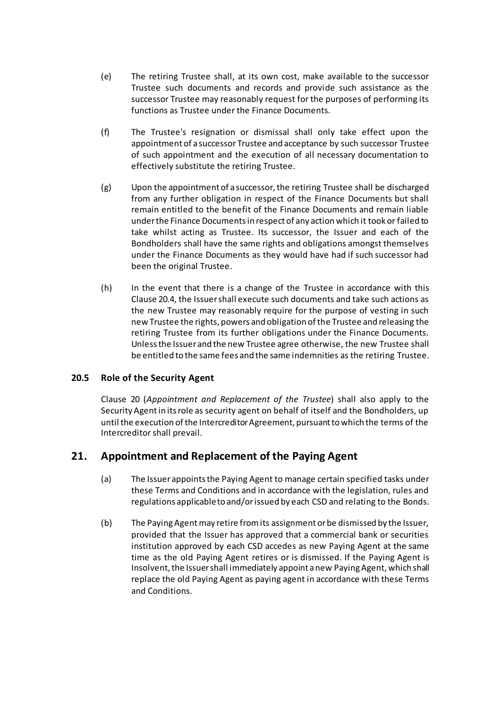- (e) The retiring Trustee shall, at its own cost, make available to the successor Trustee such documents and records and provide such assistance as the successor Trustee may reasonably request for the purposes of performing its functions as Trustee under the Finance Documents.
- <span id="page-36-1"></span>(f) The Trustee's resignation or dismissal shall only take effect upon the appointment of a successor Trustee and acceptance by such successor Trustee of such appointment and the execution of all necessary documentation to effectively substitute the retiring Trustee.
- (g) Upon the appointment of a successor, the retiring Trustee shall be discharged from any further obligation in respect of the Finance Documents but shall remain entitled to the benefit of the Finance Documents and remain liable under the Finance Documents in respect of any action which it took or failed to take whilst acting as Trustee. Its successor, the Issuer and each of the Bondholders shall have the same rights and obligations amongst themselves under the Finance Documents as they would have had if such successor had been the original Trustee.
- (h) In the event that there is a change of the Trustee in accordance with this Clause [20.4,](#page-35-1) the Issuer shall execute such documents and take such actions as the new Trustee may reasonably require for the purpose of vesting in such new Trustee the rights, powers and obligation of the Trustee and releasing the retiring Trustee from its further obligations under the Finance Documents. Unless the Issuer and the new Trustee agree otherwise, the new Trustee shall be entitled to the same fees and the same indemnities as the retiring Trustee.

#### **20.5 Role of the Security Agent**

Clause [20](#page-32-0) (*[Appointment and Replacement of the Trustee](#page-32-0)*) shall also apply to the Security Agent in its role as security agent on behalf of itself and the Bondholders, up until the execution of the Intercreditor Agreement, pursuant to which the terms of the Intercreditor shall prevail.

# <span id="page-36-0"></span>**21. Appointment and Replacement of the Paying Agent**

- (a) The Issuer appoints the Paying Agent to manage certain specified tasks under these Terms and Conditions and in accordance with the legislation, rules and regulations applicable to and/or issued by each CSD and relating to the Bonds.
- (b) The Paying Agent may retire from its assignment or be dismissed by the Issuer, provided that the Issuer has approved that a commercial bank or securities institution approved by each CSD accedes as new Paying Agent at the same time as the old Paying Agent retires or is dismissed. If the Paying Agent is Insolvent, the Issuer shall immediately appoint a new Paying Agent, which shall replace the old Paying Agent as paying agent in accordance with these Terms and Conditions.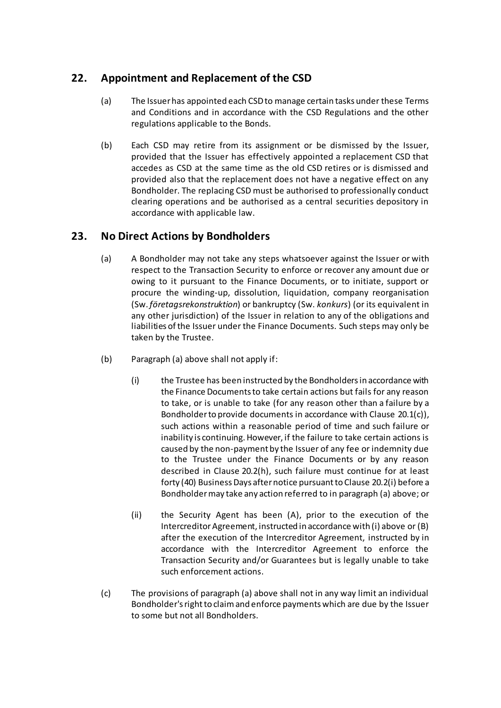# <span id="page-37-0"></span>**22. Appointment and Replacement of the CSD**

- (a) The Issuer has appointed each CSD to manage certain tasks under these Terms and Conditions and in accordance with the CSD Regulations and the other regulations applicable to the Bonds.
- (b) Each CSD may retire from its assignment or be dismissed by the Issuer, provided that the Issuer has effectively appointed a replacement CSD that accedes as CSD at the same time as the old CSD retires or is dismissed and provided also that the replacement does not have a negative effect on any Bondholder. The replacing CSD must be authorised to professionally conduct clearing operations and be authorised as a central securities depository in accordance with applicable law.

# <span id="page-37-1"></span>**23. No Direct Actions by Bondholders**

- (a) A Bondholder may not take any steps whatsoever against the Issuer or with respect to the Transaction Security to enforce or recover any amount due or owing to it pursuant to the Finance Documents, or to initiate, support or procure the winding-up, dissolution, liquidation, company reorganisation (Sw. *företagsrekonstruktion*) or bankruptcy (Sw. *konkurs*) (or its equivalent in any other jurisdiction) of the Issuer in relation to any of the obligations and liabilities of the Issuer under the Finance Documents. Such steps may only be taken by the Trustee.
- (b) Paragraph (a) above shall not apply if:
	- (i) the Trustee has been instructed by the Bondholders in accordance with the Finance Documents to take certain actions but fails for any reason to take, or is unable to take (for any reason other than a failure by a Bondholder to provide documents in accordance with Clause [20.1\(c\)\)](#page-33-0), such actions within a reasonable period of time and such failure or inability is continuing. However, if the failure to take certain actions is caused by the non-payment by the Issuer of any fee or indemnity due to the Trustee under the Finance Documents or by any reason described in Clause [20.2\(h\)](#page-34-1), such failure must continue for at least forty (40) Business Days after notice pursuant to Clause [20.2\(i\)](#page-34-2) before a Bondholder may take any action referred to in paragraph (a) above; or
	- (ii) the Security Agent has been (A), prior to the execution of the Intercreditor Agreement, instructed in accordance with (i) above or (B) after the execution of the Intercreditor Agreement, instructed by in accordance with the Intercreditor Agreement to enforce the Transaction Security and/or Guarantees but is legally unable to take such enforcement actions.
- (c) The provisions of paragraph (a) above shall not in any way limit an individual Bondholder's right to claim and enforce payments which are due by the Issuer to some but not all Bondholders.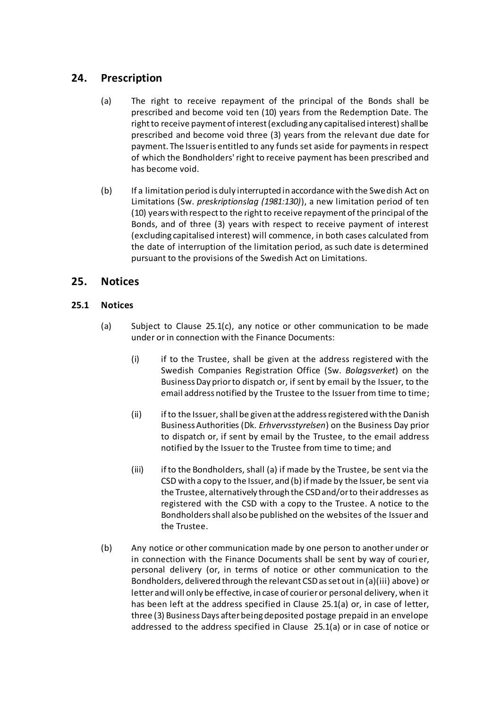# <span id="page-38-0"></span>**24. Prescription**

- (a) The right to receive repayment of the principal of the Bonds shall be prescribed and become void ten (10) years from the Redemption Date. The right to receive payment of interest (excluding any capitalised interest) shall be prescribed and become void three (3) years from the relevant due date for payment. The Issuer is entitled to any funds set aside for payments in respect of which the Bondholders' right to receive payment has been prescribed and has become void.
- (b) If a limitation period is duly interrupted in accordance with the Swedish Act on Limitations (Sw. *preskriptionslag (1981:130)*), a new limitation period of ten (10) years with respect to the right to receive repayment of the principal of the Bonds, and of three (3) years with respect to receive payment of interest (excluding capitalised interest) will commence, in both cases calculated from the date of interruption of the limitation period, as such date is determined pursuant to the provisions of the Swedish Act on Limitations.

# <span id="page-38-1"></span>**25. Notices**

### <span id="page-38-3"></span><span id="page-38-2"></span>**25.1 Notices**

- (a) Subject to Clause [25.1\(c\),](#page-38-2) any notice or other communication to be made under or in connection with the Finance Documents:
	- (i) if to the Trustee, shall be given at the address registered with the Swedish Companies Registration Office (Sw. *Bolagsverket*) on the Business Day prior to dispatch or, if sent by email by the Issuer, to the email address notified by the Trustee to the Issuer from time to time;
	- (ii) if to the Issuer, shall be given at the address registered with the Danish Business Authorities (Dk. *Erhvervsstyrelsen*) on the Business Day prior to dispatch or, if sent by email by the Trustee, to the email address notified by the Issuer to the Trustee from time to time; and
	- (iii) ifto the Bondholders, shall (a) if made by the Trustee, be sent via the CSD with a copy to the Issuer, and (b) if made by the Issuer, be sent via the Trustee, alternatively through the CSD and/or to their addresses as registered with the CSD with a copy to the Trustee. A notice to the Bondholders shall also be published on the websites of the Issuer and the Trustee.
- (b) Any notice or other communication made by one person to another under or in connection with the Finance Documents shall be sent by way of couri er, personal delivery (or, in terms of notice or other communication to the Bondholders, delivered through the relevant CSDas set out in (a)(iii) above) or letter and will only be effective, in case of courier or personal delivery, when it has been left at the address specified in Claus[e 25.1\(a\)](#page-38-3) or, in case of letter, three (3) Business Days after being deposited postage prepaid in an envelope addressed to the address specified in Clause [25.1\(a\)](#page-38-3) or in case of notice or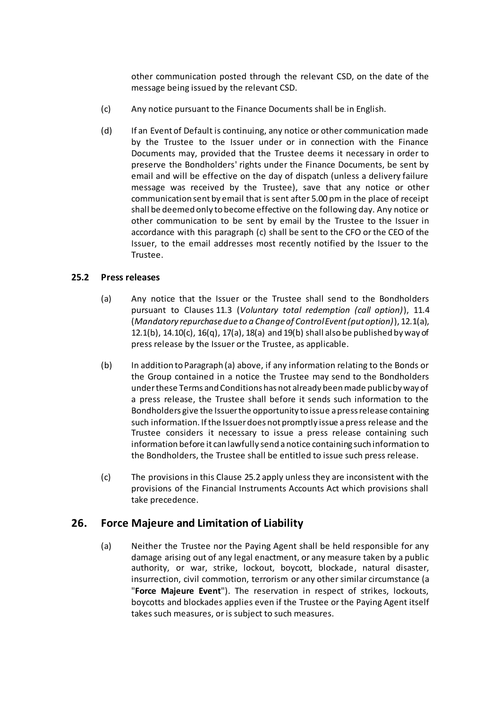other communication posted through the relevant CSD, on the date of the message being issued by the relevant CSD.

- (c) Any notice pursuant to the Finance Documents shall be in English.
- (d) If an Event of Default is continuing, any notice or other communication made by the Trustee to the Issuer under or in connection with the Finance Documents may, provided that the Trustee deems it necessary in order to preserve the Bondholders' rights under the Finance Documents, be sent by email and will be effective on the day of dispatch (unless a delivery failure message was received by the Trustee), save that any notice or other communication sent by email that is sent after 5.00 pm in the place of receipt shall be deemed only to become effective on the following day. Any notice or other communication to be sent by email by the Trustee to the Issuer in accordance with this paragraph (c) shall be sent to the CFO or the CEO of the Issuer, to the email addresses most recently notified by the Issuer to the Trustee.

### <span id="page-39-2"></span>**25.2 Press releases**

- (a) Any notice that the Issuer or the Trustee shall send to the Bondholders pursuant to Clauses [11.3](#page-19-2) (*Voluntary total redemption (call option)*), [11.4](#page-19-1) (*Mandatory repurchase due to a Change of Control Event (put option)*)[, 12.1\(a\),](#page-20-1) [12.1\(b\),](#page-20-4) [14.10\(c\),](#page-25-3) [16\(q\),](#page-30-3) [17\(a\),](#page-30-1) [18\(a\)](#page-31-2) an[d 19\(b\)](#page-32-4) shall also be published by way of press release by the Issuer or the Trustee, as applicable.
- (b) In addition to Paragraph (a) above, if any information relating to the Bonds or the Group contained in a notice the Trustee may send to the Bondholders under these Terms and Conditions has not already been made public by way of a press release, the Trustee shall before it sends such information to the Bondholders give the Issuer the opportunity to issue a press release containing such information. If the Issuer does not promptly issue a press release and the Trustee considers it necessary to issue a press release containing such information before it can lawfully send a notice containing such information to the Bondholders, the Trustee shall be entitled to issue such press release.
- (c) The provisions in this Clause [25.2](#page-39-2) apply unless they are inconsistent with the provisions of the Financial Instruments Accounts Act which provisions shall take precedence.

# <span id="page-39-1"></span><span id="page-39-0"></span>**26. Force Majeure and Limitation of Liability**

(a) Neither the Trustee nor the Paying Agent shall be held responsible for any damage arising out of any legal enactment, or any measure taken by a public authority, or war, strike, lockout, boycott, blockade, natural disaster, insurrection, civil commotion, terrorism or any other similar circumstance (a "**Force Majeure Event**"). The reservation in respect of strikes, lockouts, boycotts and blockades applies even if the Trustee or the Paying Agent itself takes such measures, or is subject to such measures.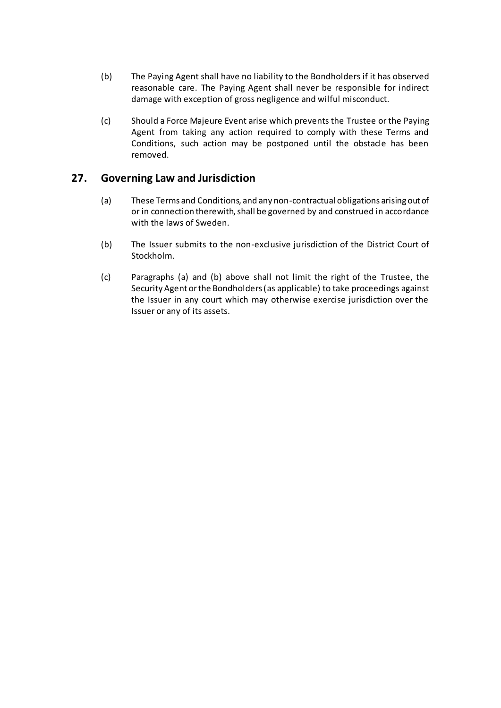- (b) The Paying Agent shall have no liability to the Bondholders if it has observed reasonable care. The Paying Agent shall never be responsible for indirect damage with exception of gross negligence and wilful misconduct.
- (c) Should a Force Majeure Event arise which prevents the Trustee or the Paying Agent from taking any action required to comply with these Terms and Conditions, such action may be postponed until the obstacle has been removed.

### <span id="page-40-0"></span>**27. Governing Law and Jurisdiction**

- (a) These Terms and Conditions, and any non-contractual obligations arising out of or in connection therewith, shall be governed by and construed in accordance with the laws of Sweden.
- (b) The Issuer submits to the non-exclusive jurisdiction of the District Court of Stockholm.
- (c) Paragraphs (a) and (b) above shall not limit the right of the Trustee, the Security Agent or the Bondholders (as applicable) to take proceedings against the Issuer in any court which may otherwise exercise jurisdiction over the Issuer or any of its assets.